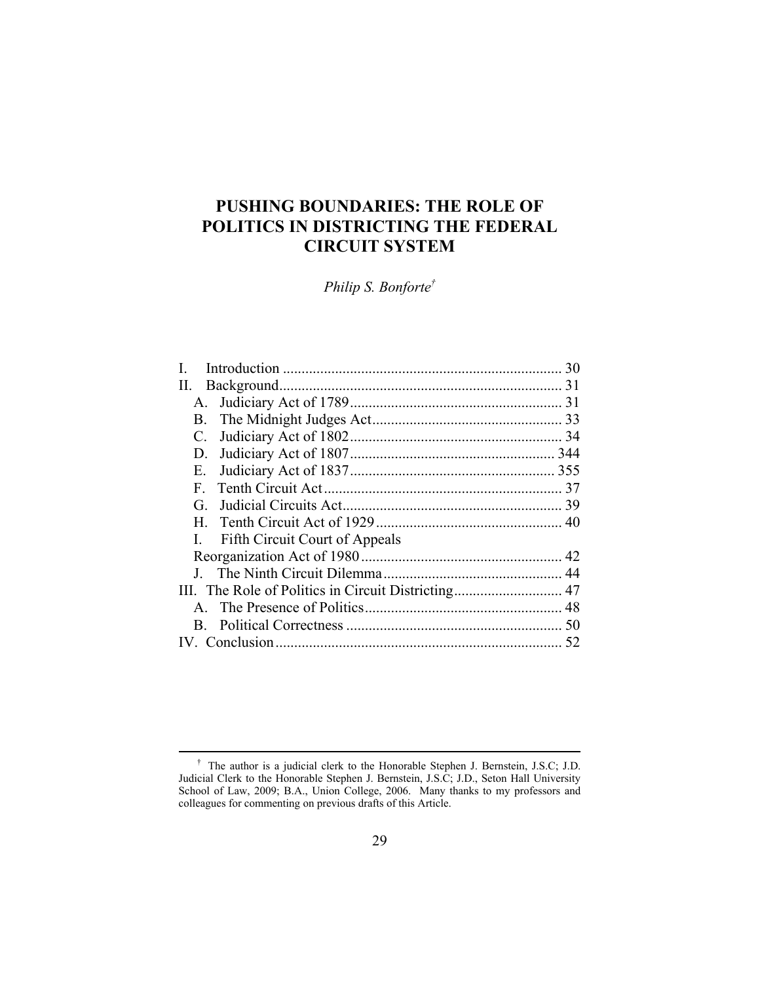# **PUSHING BOUNDARIES: THE ROLE OF POLITICS IN DISTRICTING THE FEDERAL CIRCUIT SYSTEM**

*Philip S. Bonforte†* 

|                                                     |                                       | 30 |
|-----------------------------------------------------|---------------------------------------|----|
| H.                                                  |                                       |    |
| А.                                                  |                                       |    |
| B.                                                  |                                       |    |
| C.                                                  |                                       |    |
| D.                                                  |                                       |    |
| Е.                                                  |                                       |    |
| F.                                                  |                                       |    |
| G.                                                  |                                       |    |
| H.                                                  |                                       |    |
|                                                     | <b>Fifth Circuit Court of Appeals</b> |    |
|                                                     |                                       |    |
|                                                     |                                       |    |
| III. The Role of Politics in Circuit Districting 47 |                                       |    |
|                                                     |                                       |    |
| B.                                                  |                                       |    |
|                                                     |                                       | 52 |
|                                                     |                                       |    |

 <sup>†</sup> The author is a judicial clerk to the Honorable Stephen J. Bernstein, J.S.C; J.D. Judicial Clerk to the Honorable Stephen J. Bernstein, J.S.C; J.D., Seton Hall University School of Law, 2009; B.A., Union College, 2006. Many thanks to my professors and colleagues for commenting on previous drafts of this Article.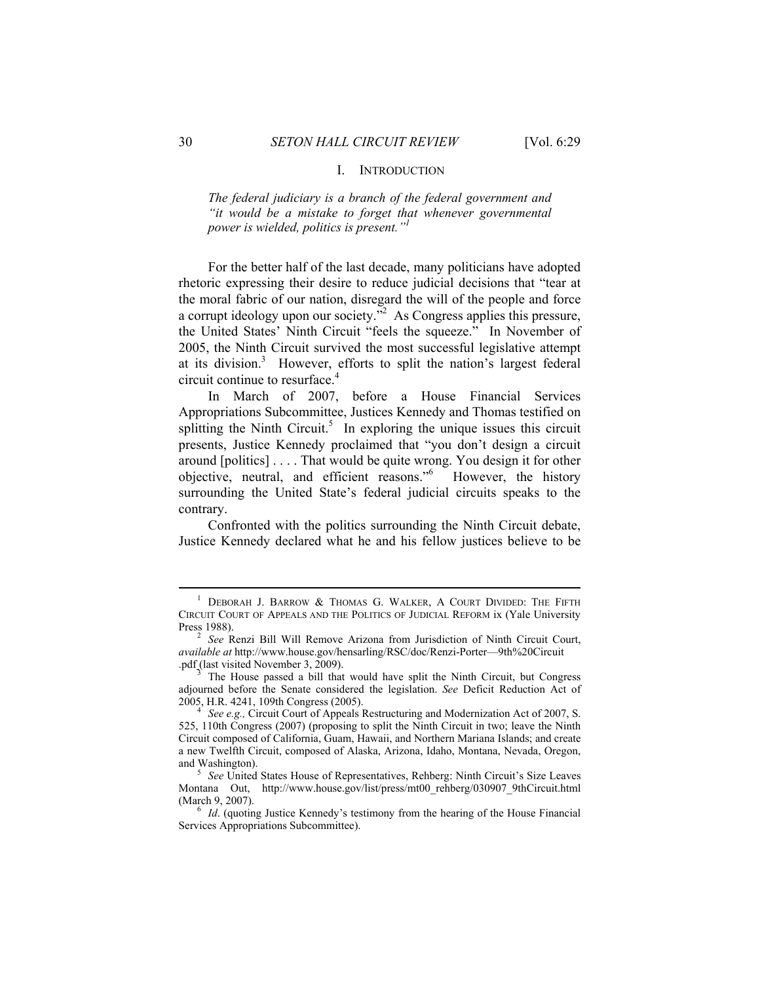## I. INTRODUCTION

*The federal judiciary is a branch of the federal government and "it would be a mistake to forget that whenever governmental power is wielded, politics is present."1*

For the better half of the last decade, many politicians have adopted rhetoric expressing their desire to reduce judicial decisions that "tear at the moral fabric of our nation, disregard the will of the people and force a corrupt ideology upon our society.<sup>32</sup> As Congress applies this pressure, the United States' Ninth Circuit "feels the squeeze." In November of 2005, the Ninth Circuit survived the most successful legislative attempt at its division.<sup>3</sup> However, efforts to split the nation's largest federal circuit continue to resurface.4

In March of 2007, before a House Financial Services Appropriations Subcommittee, Justices Kennedy and Thomas testified on splitting the Ninth Circuit.<sup>5</sup> In exploring the unique issues this circuit presents, Justice Kennedy proclaimed that "you don't design a circuit around [politics] . . . . That would be quite wrong. You design it for other objective, neutral, and efficient reasons."6 However, the history surrounding the United State's federal judicial circuits speaks to the contrary.

Confronted with the politics surrounding the Ninth Circuit debate, Justice Kennedy declared what he and his fellow justices believe to be

 $\frac{1}{1}$ <sup>1</sup> DEBORAH J. BARROW & THOMAS G. WALKER, A COURT DIVIDED: THE FIFTH CIRCUIT COURT OF APPEALS AND THE POLITICS OF JUDICIAL REFORM ix (Yale University Press 1988).

<sup>&</sup>lt;sup>2</sup> See Renzi Bill Will Remove Arizona from Jurisdiction of Ninth Circuit Court, *available at* http://www.house.gov/hensarling/RSC/doc/Renzi-Porter—9th%20Circuit .pdf (last visited November 3, 2009).

<sup>3</sup> The House passed a bill that would have split the Ninth Circuit, but Congress adjourned before the Senate considered the legislation. *See* Deficit Reduction Act of 2005, H.R. 4241, 109th Congress (2005). 4

*See e.g.,* Circuit Court of Appeals Restructuring and Modernization Act of 2007, S. 525, 110th Congress (2007) (proposing to split the Ninth Circuit in two; leave the Ninth Circuit composed of California, Guam, Hawaii, and Northern Mariana Islands; and create a new Twelfth Circuit, composed of Alaska, Arizona, Idaho, Montana, Nevada, Oregon, and Washington).

*See* United States House of Representatives, Rehberg: Ninth Circuit's Size Leaves Montana Out, http://www.house.gov/list/press/mt00\_rehberg/030907\_9thCircuit.html (March 9, 2007).

<sup>&</sup>lt;sup>6</sup> *Id.* (quoting Justice Kennedy's testimony from the hearing of the House Financial Services Appropriations Subcommittee).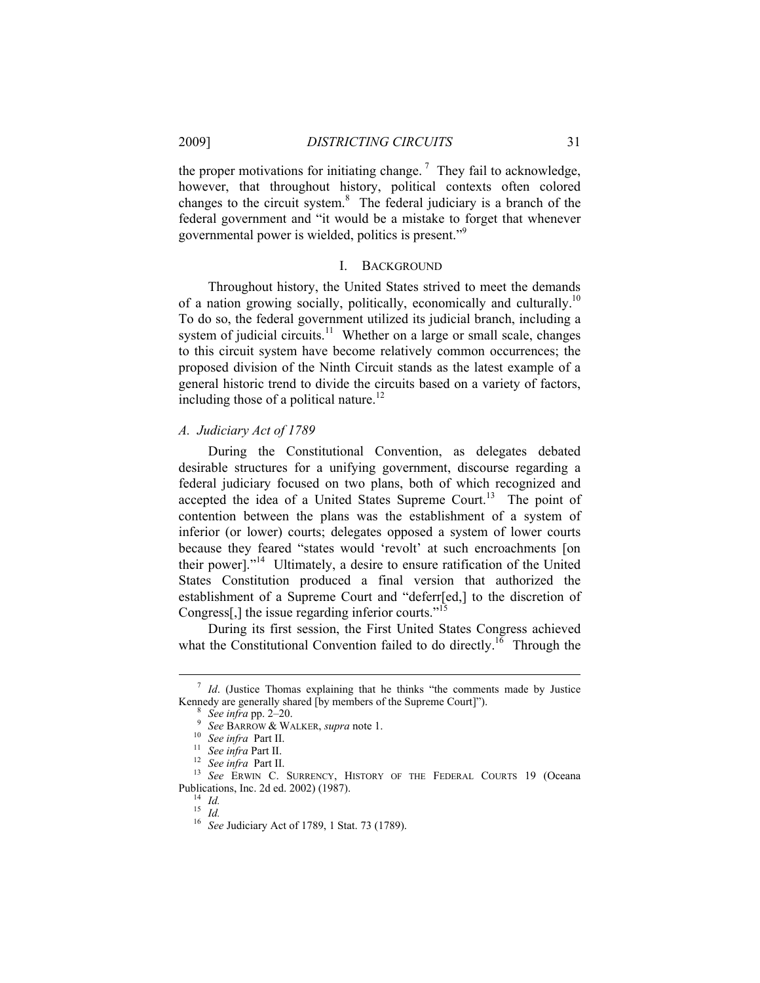the proper motivations for initiating change.<sup>7</sup> They fail to acknowledge, however, that throughout history, political contexts often colored changes to the circuit system.<sup>8</sup> The federal judiciary is a branch of the federal government and "it would be a mistake to forget that whenever governmental power is wielded, politics is present."<sup>9</sup>

## I. BACKGROUND

Throughout history, the United States strived to meet the demands of a nation growing socially, politically, economically and culturally.<sup>10</sup> To do so, the federal government utilized its judicial branch, including a system of judicial circuits. $11$  Whether on a large or small scale, changes to this circuit system have become relatively common occurrences; the proposed division of the Ninth Circuit stands as the latest example of a general historic trend to divide the circuits based on a variety of factors, including those of a political nature.<sup>12</sup>

# *A. Judiciary Act of 1789*

During the Constitutional Convention, as delegates debated desirable structures for a unifying government, discourse regarding a federal judiciary focused on two plans, both of which recognized and accepted the idea of a United States Supreme Court.<sup>13</sup> The point of contention between the plans was the establishment of a system of inferior (or lower) courts; delegates opposed a system of lower courts because they feared "states would 'revolt' at such encroachments [on their power]."14 Ultimately, a desire to ensure ratification of the United States Constitution produced a final version that authorized the establishment of a Supreme Court and "deferr[ed,] to the discretion of Congress[,] the issue regarding inferior courts."<sup>15</sup>

During its first session, the First United States Congress achieved what the Constitutional Convention failed to do directly.<sup>16</sup> Through the

 $\frac{1}{7}$  $I$  *Id.* (Justice Thomas explaining that he thinks "the comments made by Justice Kennedy are generally shared [by members of the Supreme Court]").

<sup>&</sup>lt;sup>8</sup> *See infra* pp. 2–20.<br><sup>9</sup> *See BARROW & WALKER, supra* note 1.<br><sup>10</sup> *See infra* Part II.

<sup>&</sup>lt;sup>11</sup> See infra Part II.<br><sup>12</sup> See infra Part II.<br><sup>12</sup> See infra Part II.<br><sup>13</sup> See ERWIN C. SURRENCY, HISTORY OF THE FEDERAL COURTS 19 (Oceana Publications, Inc. 2d ed. 2002) (1987). 14 *Id.*

<sup>15</sup> *Id.* <sup>16</sup> *See* Judiciary Act of 1789, 1 Stat. 73 (1789).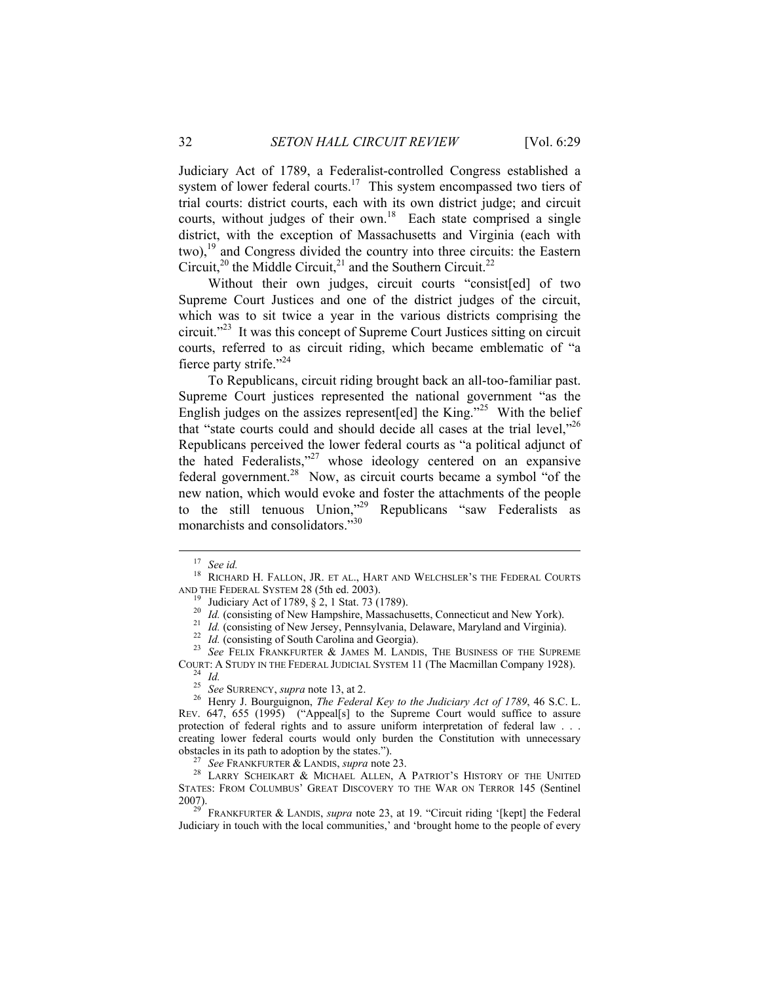Judiciary Act of 1789, a Federalist-controlled Congress established a system of lower federal courts.<sup>17</sup> This system encompassed two tiers of trial courts: district courts, each with its own district judge; and circuit courts, without judges of their own.<sup>18</sup> Each state comprised a single district, with the exception of Massachusetts and Virginia (each with two),<sup>19</sup> and Congress divided the country into three circuits: the Eastern Circuit,<sup>20</sup> the Middle Circuit,<sup>21</sup> and the Southern Circuit.<sup>22</sup>

Without their own judges, circuit courts "consist[ed] of two Supreme Court Justices and one of the district judges of the circuit, which was to sit twice a year in the various districts comprising the circuit."<sup>23</sup> It was this concept of Supreme Court Justices sitting on circuit courts, referred to as circuit riding, which became emblematic of "a fierce party strife."<sup>24</sup>

To Republicans, circuit riding brought back an all-too-familiar past. Supreme Court justices represented the national government "as the English judges on the assizes represent [ed] the King."<sup>25</sup> With the belief that "state courts could and should decide all cases at the trial level,"<sup>26</sup> Republicans perceived the lower federal courts as "a political adjunct of the hated Federalists,"27 whose ideology centered on an expansive federal government.<sup>28</sup> Now, as circuit courts became a symbol "of the new nation, which would evoke and foster the attachments of the people to the still tenuous Union,"<sup>29</sup> Republicans "saw Federalists as monarchists and consolidators."30

<sup>17</sup> *See id.* 18 RICHARD H. FALLON, JR. ET AL., HART AND WELCHSLER'S THE FEDERAL COURTS AND THE FEDERAL SYSTEM 28 (5th ed. 2003).<br><sup>19</sup> Judiciary Act of 1789, § 2, 1 Stat. 73 (1789).<br><sup>20</sup> *Id.* (consisting of New Hampshire, Massachusetts, Connecticut and New York).<br><sup>21</sup> *Id.* (consisting of New Jersey, Pennsy

COURT: A STUDY IN THE FEDERAL JUDICIAL SYSTEM 11 (The Macmillan Company 1928).<br><sup>24</sup> *Id. 25 See* SURRENCY, *supra* note 13, at 2.

<sup>&</sup>lt;sup>26</sup> Henry J. Bourguignon, *The Federal Key to the Judiciary Act of 1789*, 46 S.C. L. REV. 647, 655 (1995) ("Appeal[s] to the Supreme Court would suffice to assure protection of federal rights and to assure uniform interpretation of federal law . . . creating lower federal courts would only burden the Constitution with unnecessary obstacles in its path to adoption by the states.").<br><sup>27</sup> See FRANKFURTER & LANDIS, *supra* note 23.<br><sup>28</sup> LARRY SCHEIKART & MICHAEL ALLEN, A PATRIOT'S HISTORY OF THE UNITED

STATES: FROM COLUMBUS' GREAT DISCOVERY TO THE WAR ON TERROR 145 (Sentinel 2007).

FRANKFURTER & LANDIS, *supra* note 23, at 19. "Circuit riding '[kept] the Federal Judiciary in touch with the local communities,' and 'brought home to the people of every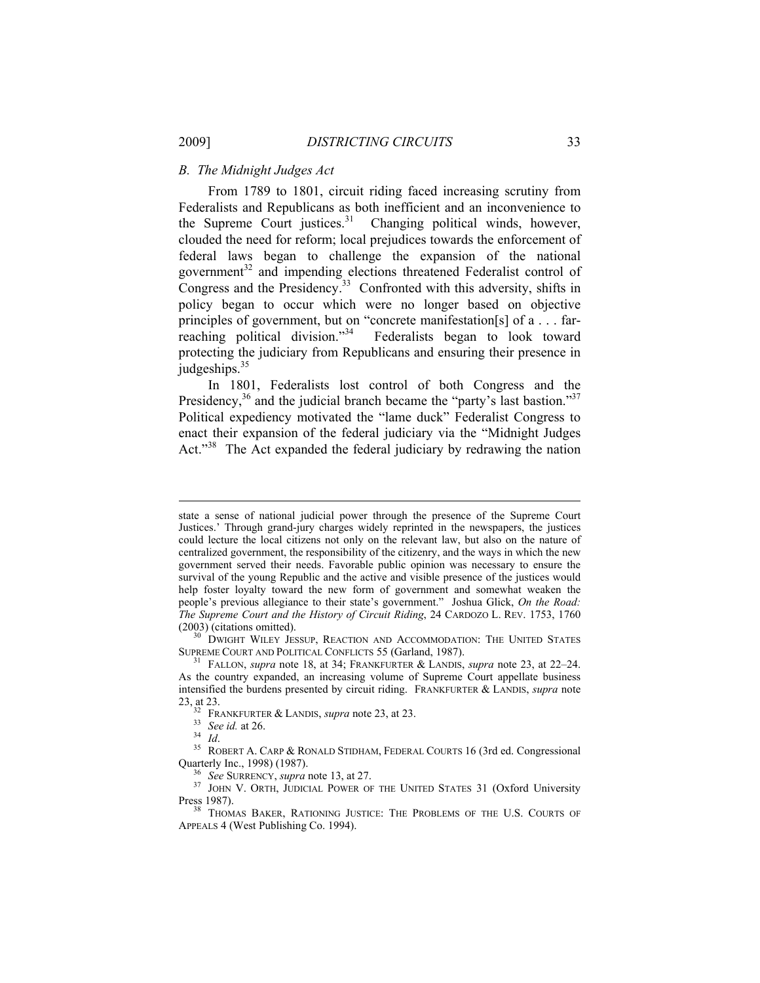## *B. The Midnight Judges Act*

From 1789 to 1801, circuit riding faced increasing scrutiny from Federalists and Republicans as both inefficient and an inconvenience to the Supreme Court justices.<sup>31</sup> Changing political winds, however, clouded the need for reform; local prejudices towards the enforcement of federal laws began to challenge the expansion of the national government<sup>32</sup> and impending elections threatened Federalist control of Congress and the Presidency.<sup>33</sup> Confronted with this adversity, shifts in policy began to occur which were no longer based on objective principles of government, but on "concrete manifestation[s] of a . . . farreaching political division."<sup>34</sup> Federalists began to look toward protecting the judiciary from Republicans and ensuring their presence in judgeships.<sup>35</sup>

In 1801, Federalists lost control of both Congress and the Presidency, $36$  and the judicial branch became the "party's last bastion." $37$ Political expediency motivated the "lame duck" Federalist Congress to enact their expansion of the federal judiciary via the "Midnight Judges Act."<sup>38</sup> The Act expanded the federal judiciary by redrawing the nation

(2003) (citations omitted). <sup>30</sup> DWIGHT WILEY JESSUP, REACTION AND ACCOMMODATION: THE UNITED STATES SUPREME COURT AND POLITICAL CONFLICTS 55 (Garland, 1987).

state a sense of national judicial power through the presence of the Supreme Court Justices.' Through grand-jury charges widely reprinted in the newspapers, the justices could lecture the local citizens not only on the relevant law, but also on the nature of centralized government, the responsibility of the citizenry, and the ways in which the new government served their needs. Favorable public opinion was necessary to ensure the survival of the young Republic and the active and visible presence of the justices would help foster loyalty toward the new form of government and somewhat weaken the people's previous allegiance to their state's government." Joshua Glick, *On the Road: The Supreme Court and the History of Circuit Riding*, 24 CARDOZO L. REV. 1753, 1760

<sup>&</sup>lt;sup>31</sup> FALLON, *supra* note 18, at 34; FRANKFURTER & LANDIS, *supra* note 23, at 22–24. As the country expanded, an increasing volume of Supreme Court appellate business intensified the burdens presented by circuit riding. FRANKFURTER & LANDIS, *supra* note

<sup>23,</sup> at 23.<br><sup>32</sup> FRANKFURTER & LANDIS, *supra* note 23, at 23.<br><sup>33</sup> *See id.* at 26.<br><sup>34</sup> *Id.* <sup>35</sup> ROBERT A. CARP & RONALD STIDHAM, FEDERAL COURTS 16 (3rd ed. Congressional Quarterly Inc., 1998) (1987).

<sup>&</sup>lt;sup>36</sup> See SURRENCY, *supra* note 13, at 27.<br><sup>37</sup> JOHN V. ORTH, JUDICIAL POWER OF THE UNITED STATES 31 (Oxford University Press 1987).

THOMAS BAKER, RATIONING JUSTICE: THE PROBLEMS OF THE U.S. COURTS OF APPEALS 4 (West Publishing Co. 1994).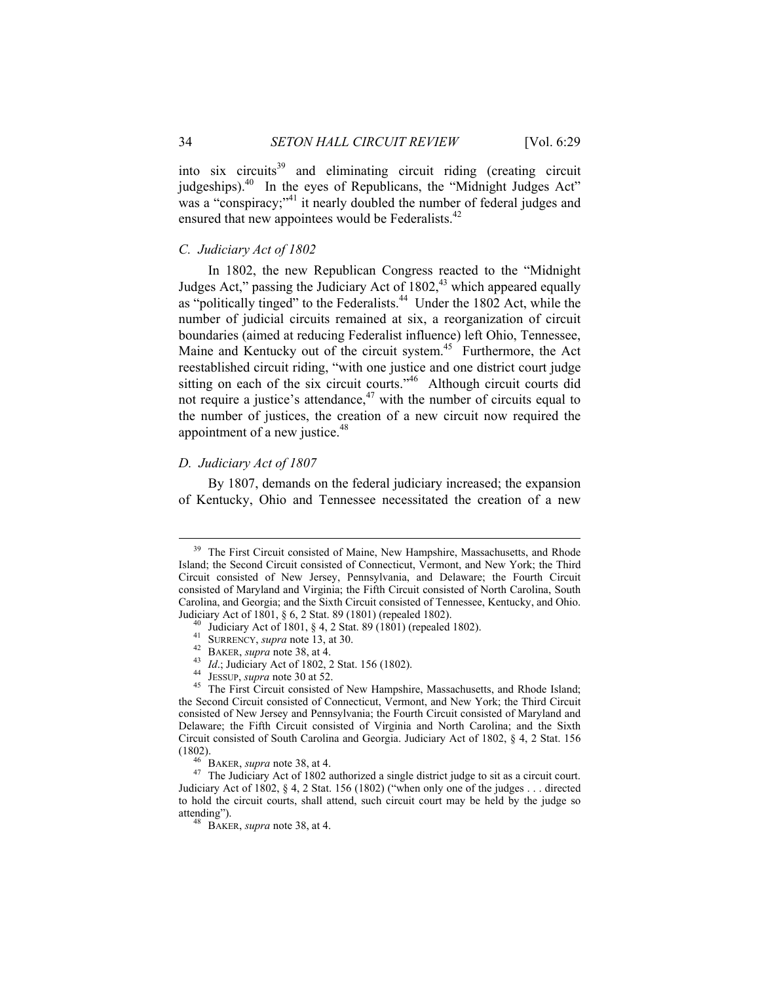into six circuits<sup>39</sup> and eliminating circuit riding (creating circuit judgeships).40 In the eyes of Republicans, the "Midnight Judges Act" was a "conspiracy;"<sup>41</sup> it nearly doubled the number of federal judges and ensured that new appointees would be Federalists.<sup>42</sup>

## *C. Judiciary Act of 1802*

In 1802, the new Republican Congress reacted to the "Midnight Judges Act," passing the Judiciary Act of  $1802<sub>1</sub><sup>43</sup>$  which appeared equally as "politically tinged" to the Federalists.<sup>44</sup> Under the 1802 Act, while the number of judicial circuits remained at six, a reorganization of circuit boundaries (aimed at reducing Federalist influence) left Ohio, Tennessee, Maine and Kentucky out of the circuit system.<sup>45</sup> Furthermore, the Act reestablished circuit riding, "with one justice and one district court judge sitting on each of the six circuit courts." $46$  Although circuit courts did not require a justice's attendance, $47$  with the number of circuits equal to the number of justices, the creation of a new circuit now required the appointment of a new justice.<sup>48</sup>

## *D. Judiciary Act of 1807*

By 1807, demands on the federal judiciary increased; the expansion of Kentucky, Ohio and Tennessee necessitated the creation of a new

<sup>&</sup>lt;sup>39</sup> The First Circuit consisted of Maine, New Hampshire, Massachusetts, and Rhode Island; the Second Circuit consisted of Connecticut, Vermont, and New York; the Third Circuit consisted of New Jersey, Pennsylvania, and Delaware; the Fourth Circuit consisted of Maryland and Virginia; the Fifth Circuit consisted of North Carolina, South Carolina, and Georgia; and the Sixth Circuit consisted of Tennessee, Kentucky, and Ohio.

Judiciary Act of 1801, § 6, 2 Stat. 89 (1801) (repealed 1802).<br>
<sup>40</sup> Judiciary Act of 1801, § 4, 2 Stat. 89 (1801) (repealed 1802).<br>
<sup>41</sup> SURRENCY, *supra* note 13, at 30.<br>
<sup>42</sup> BAKER, *supra* note 38, at 4.<br>
<sup>43</sup> Id.; Ju the Second Circuit consisted of Connecticut, Vermont, and New York; the Third Circuit consisted of New Jersey and Pennsylvania; the Fourth Circuit consisted of Maryland and Delaware; the Fifth Circuit consisted of Virginia and North Carolina; and the Sixth Circuit consisted of South Carolina and Georgia. Judiciary Act of 1802, § 4, 2 Stat. 156

<sup>(1802). 46</sup> BAKER, *supra* note 38, at 4. 47 The Judiciary Act of 1802 authorized a single district judge to sit as a circuit court. Judiciary Act of 1802, § 4, 2 Stat. 156 (1802) ("when only one of the judges . . . directed to hold the circuit courts, shall attend, such circuit court may be held by the judge so

 $48$  BAKER, *supra* note 38, at 4.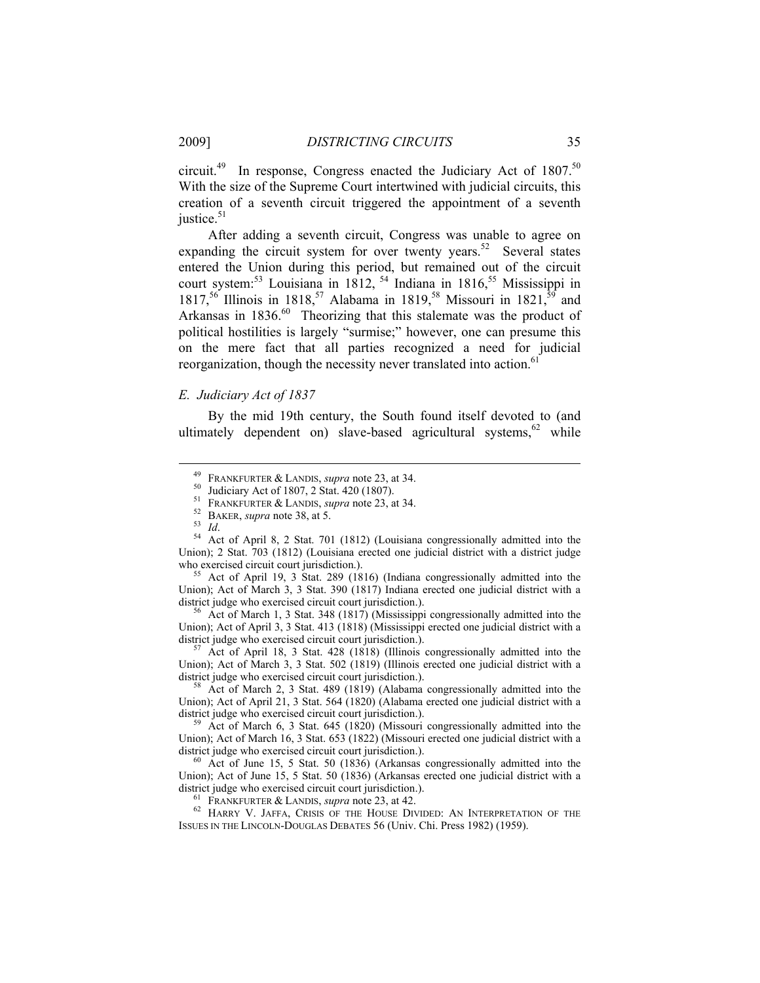circuit.<sup>49</sup> In response, Congress enacted the Judiciary Act of 1807.<sup>50</sup> With the size of the Supreme Court intertwined with judicial circuits, this creation of a seventh circuit triggered the appointment of a seventh justice.<sup>51</sup>

After adding a seventh circuit, Congress was unable to agree on expanding the circuit system for over twenty years.<sup>52</sup> Several states entered the Union during this period, but remained out of the circuit court system:<sup>53</sup> Louisiana in 1812,  $54$  Indiana in 1816, <sup>55</sup> Mississippi in 1817,<sup>56</sup> Illinois in 1818,<sup>57</sup> Alabama in 1819,<sup>58</sup> Missouri in 1821,<sup>59</sup> and Arkansas in 1836.<sup>60</sup> Theorizing that this stalemate was the product of political hostilities is largely "surmise;" however, one can presume this on the mere fact that all parties recognized a need for judicial reorganization, though the necessity never translated into action.<sup>6</sup>

## *E. Judiciary Act of 1837*

By the mid 19th century, the South found itself devoted to (and ultimately dependent on) slave-based agricultural systems.<sup>62</sup> while

Union); Act of March 3, 3 Stat. 390 (1817) Indiana erected one judicial district with a district judge who exercised circuit court jurisdiction.).<br><sup>56</sup> Act of March 1, 3 Stat. 348 (1817) (Mississippi congressionally admitted into the

Union); Act of April 3, 3 Stat. 413 (1818) (Mississippi erected one judicial district with a

Act of April 18, 3 Stat. 428 (1818) (Illinois congressionally admitted into the Union); Act of March 3, 3 Stat. 502 (1819) (Illinois erected one judicial district with a district judge who exercised circuit court jurisdiction.).<br><sup>58</sup> Act of March 2, 3 Stat. 489 (1819) (Alabama congressionally admitted into the

Union); Act of April 21, 3 Stat. 564 (1820) (Alabama erected one judicial district with a district judge who exercised circuit court jurisdiction.).<br><sup>59</sup> Act of March 6, 3 Stat. 645 (1820) (Missouri congressionally admitted into the

Union); Act of March 16, 3 Stat. 653 (1822) (Missouri erected one judicial district with a district judge who exercised circuit court jurisdiction.).<br><sup>60</sup> Act of June 15, 5 Stat. 50 (1836) (Arkansas congressionally admitted into the

Union); Act of June 15, 5 Stat. 50 (1836) (Arkansas erected one judicial district with a district judge who exercised circuit court jurisdiction.).<br><sup>61</sup> FRANKFURTER & LANDIS, *supra* note 23, at 42.<br><sup>62</sup> HARRY V. JAFFA, CRISIS OF THE HOUSE DIVIDED: AN INTERPRETATION OF THE

ISSUES IN THE LINCOLN-DOUGLAS DEBATES 56 (Univ. Chi. Press 1982) (1959).

<sup>&</sup>lt;sup>49</sup> FRANKFURTER & LANDIS, *supra* note 23, at 34.<br><sup>50</sup> Judiciary Act of 1807, 2 Stat. 420 (1807).<br><sup>51</sup> FRANKFURTER & LANDIS, *supra* note 23, at 34.

<sup>&</sup>lt;sup>52</sup> BAKER, *supra* note 38, at 5.<br><sup>53</sup> *Id.* 64 Act of April 8, 2 Stat. 701 (1812) (Louisiana congressionally admitted into the Union); 2 Stat. 703 (1812) (Louisiana erected one judicial district with a district judge who exercised circuit court jurisdiction.).<br><sup>55</sup> Act of April 19, 3 Stat. 289 (1816) (Indiana congressionally admitted into the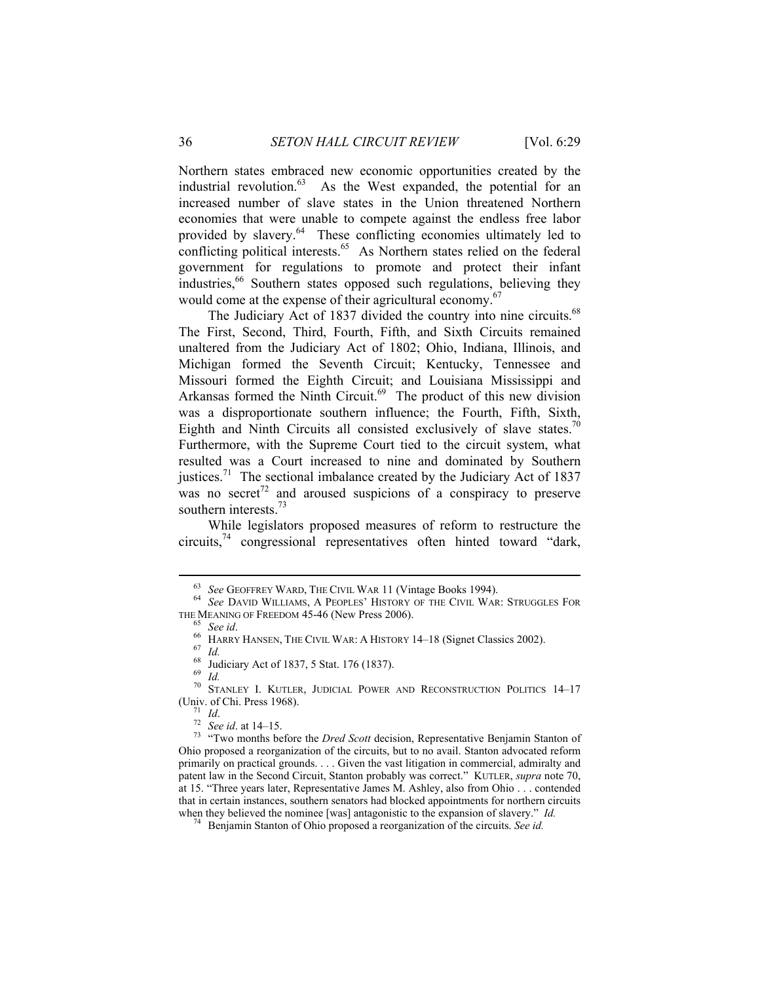Northern states embraced new economic opportunities created by the industrial revolution.<sup>63</sup> As the West expanded, the potential for an increased number of slave states in the Union threatened Northern economies that were unable to compete against the endless free labor provided by slavery.<sup>64</sup> These conflicting economies ultimately led to conflicting political interests.<sup>65</sup> As Northern states relied on the federal government for regulations to promote and protect their infant industries,<sup>66</sup> Southern states opposed such regulations, believing they would come at the expense of their agricultural economy.<sup>67</sup>

The Judiciary Act of 1837 divided the country into nine circuits.<sup>68</sup> The First, Second, Third, Fourth, Fifth, and Sixth Circuits remained unaltered from the Judiciary Act of 1802; Ohio, Indiana, Illinois, and Michigan formed the Seventh Circuit; Kentucky, Tennessee and Missouri formed the Eighth Circuit; and Louisiana Mississippi and Arkansas formed the Ninth Circuit.<sup>69</sup> The product of this new division was a disproportionate southern influence; the Fourth, Fifth, Sixth, Eighth and Ninth Circuits all consisted exclusively of slave states.<sup>70</sup> Furthermore, with the Supreme Court tied to the circuit system, what resulted was a Court increased to nine and dominated by Southern justices.<sup>71</sup> The sectional imbalance created by the Judiciary Act of 1837 was no secret<sup>72</sup> and aroused suspicions of a conspiracy to preserve southern interests.<sup>73</sup>

While legislators proposed measures of reform to restructure the circuits,74 congressional representatives often hinted toward "dark,

<sup>&</sup>lt;sup>63</sup> See GEOFFREY WARD, THE CIVIL WAR 11 (Vintage Books 1994).<br><sup>64</sup> See DAVID WILLIAMS, A PEOPLES' HISTORY OF THE CIVIL WAR: STRUGGLES FOR THE MEANING OF FREEDOM 45-46 (New Press 2006).

<sup>&</sup>lt;sup>65</sup> See *id*.<br><sup>66</sup> HARRY HANSEN, THE CIVIL WAR: A HISTORY 14–18 (Signet Classics 2002).<br><sup>67</sup> *Id.* 68 Judiciary Act of 1837, 5 Stat. 176 (1837).<br><sup>69</sup> *Id* 

<sup>&</sup>lt;sup>70</sup> STANLEY I. KUTLER, JUDICIAL POWER AND RECONSTRUCTION POLITICS 14–17<br>(Univ. of Chi. Press 1968).<br><sup>71</sup> Id.<br><sup>72</sup> See id. at 14–15.

<sup>&</sup>lt;sup>73</sup> "Two months before the *Dred Scott* decision, Representative Benjamin Stanton of Ohio proposed a reorganization of the circuits, but to no avail. Stanton advocated reform primarily on practical grounds. . . . Given the vast litigation in commercial, admiralty and patent law in the Second Circuit, Stanton probably was correct." KUTLER, *supra* note 70, at 15. "Three years later, Representative James M. Ashley, also from Ohio . . . contended that in certain instances, southern senators had blocked appointments for northern circuits when they believed the nominee [was] antagonistic to the expansion of slavery." *Id.* 74 Benjamin Stanton of Ohio proposed a reorganization of the circuits. *See id.*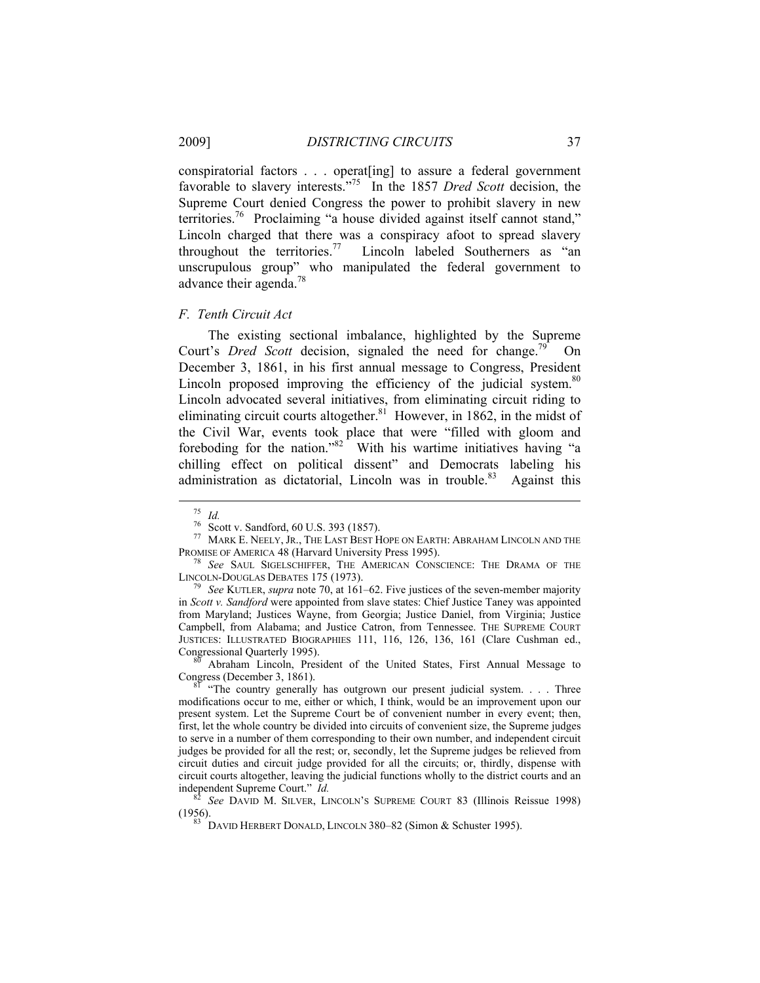conspiratorial factors . . . operat[ing] to assure a federal government favorable to slavery interests."75 In the 1857 *Dred Scott* decision, the Supreme Court denied Congress the power to prohibit slavery in new territories.76 Proclaiming "a house divided against itself cannot stand," Lincoln charged that there was a conspiracy afoot to spread slavery throughout the territories.<sup>77</sup> Lincoln labeled Southerners as "an unscrupulous group" who manipulated the federal government to advance their agenda.<sup>78</sup>

*F. Tenth Circuit Act* 

The existing sectional imbalance, highlighted by the Supreme Court's *Dred Scott* decision, signaled the need for change.<sup>79</sup> On December 3, 1861, in his first annual message to Congress, President Lincoln proposed improving the efficiency of the judicial system. $80$ Lincoln advocated several initiatives, from eliminating circuit riding to eliminating circuit courts altogether. $81$  However, in 1862, in the midst of the Civil War, events took place that were "filled with gloom and foreboding for the nation."<sup>82</sup> With his wartime initiatives having "a chilling effect on political dissent" and Democrats labeling his administration as dictatorial, Lincoln was in trouble.<sup>83</sup> Against this

<sup>75</sup> *Id.* 76 Scott v. Sandford, 60 U.S. 393 (1857).

 $^{77}$  Mark E. Neely,  $\rm Jr.,$  The Last Best Hope on Earth: Abraham Lincoln and the

PROMISE OF AMERICA 48 (Harvard University Press 1995).<br><sup>78</sup> See SAUL SIGELSCHIFFER, THE AMERICAN CONSCIENCE: THE DRAMA OF THE LINCOLN-DOUGLAS DEBATES 175 (1973).

Level Kutter, *supra* note 70, at 161–62. Five justices of the seven-member majority in *Scott v. Sandford* were appointed from slave states: Chief Justice Taney was appointed from Maryland; Justices Wayne, from Georgia; Justice Daniel, from Virginia; Justice Campbell, from Alabama; and Justice Catron, from Tennessee. THE SUPREME COURT JUSTICES: ILLUSTRATED BIOGRAPHIES 111, 116, 126, 136, 161 (Clare Cushman ed.,

Congressional Quarterly 1995). <sup>80</sup> Abraham Lincoln, President of the United States, First Annual Message to Congress (December 3, 1861).

<sup>&</sup>quot;The country generally has outgrown our present judicial system. . . . Three modifications occur to me, either or which, I think, would be an improvement upon our present system. Let the Supreme Court be of convenient number in every event; then, first, let the whole country be divided into circuits of convenient size, the Supreme judges to serve in a number of them corresponding to their own number, and independent circuit judges be provided for all the rest; or, secondly, let the Supreme judges be relieved from circuit duties and circuit judge provided for all the circuits; or, thirdly, dispense with circuit courts altogether, leaving the judicial functions wholly to the district courts and an independent Supreme Court." *Id.* <sup>82</sup> *See* DAVID M. SILVER, LINCOLN'S SUPREME COURT 83 (Illinois Reissue 1998)

<sup>(1956). 83</sup> DAVID HERBERT DONALD, LINCOLN 380–82 (Simon & Schuster 1995).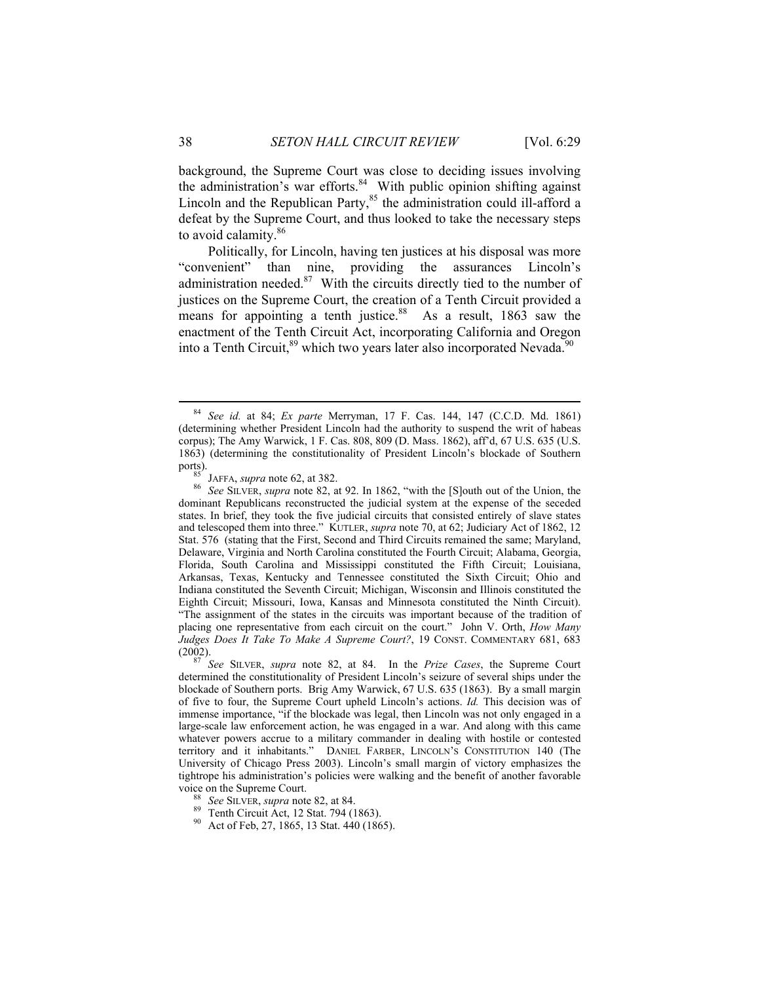background, the Supreme Court was close to deciding issues involving the administration's war efforts. $84$  With public opinion shifting against Lincoln and the Republican Party,<sup>85</sup> the administration could ill-afford a defeat by the Supreme Court, and thus looked to take the necessary steps to avoid calamity.<sup>86</sup>

Politically, for Lincoln, having ten justices at his disposal was more "convenient" than nine, providing the assurances Lincoln's administration needed. $87$  With the circuits directly tied to the number of justices on the Supreme Court, the creation of a Tenth Circuit provided a means for appointing a tenth justice.<sup>88</sup> As a result, 1863 saw the enactment of the Tenth Circuit Act, incorporating California and Oregon into a Tenth Circuit,<sup>89</sup> which two years later also incorporated Nevada.<sup>90</sup>

 <sup>84</sup> *See id.* at 84; *Ex parte* Merryman, 17 F. Cas. 144, 147 (C.C.D. Md. 1861) (determining whether President Lincoln had the authority to suspend the writ of habeas corpus); The Amy Warwick, 1 F. Cas. 808, 809 (D. Mass. 1862), aff'd, 67 U.S. 635 (U.S. 1863) (determining the constitutionality of President Lincoln's blockade of Southern

ports).<br><sup>85</sup> JAFFA, *supra* note 62, at 382.<br><sup>86</sup> See SILVER, *supra* note 82, at 92. In 1862, "with the [S]outh out of the Union, the dominant Republicans reconstructed the judicial system at the expense of the seceded states. In brief, they took the five judicial circuits that consisted entirely of slave states and telescoped them into three." KUTLER, *supra* note 70, at 62; Judiciary Act of 1862, 12 Stat. 576 (stating that the First, Second and Third Circuits remained the same; Maryland, Delaware, Virginia and North Carolina constituted the Fourth Circuit; Alabama, Georgia, Florida, South Carolina and Mississippi constituted the Fifth Circuit; Louisiana, Arkansas, Texas, Kentucky and Tennessee constituted the Sixth Circuit; Ohio and Indiana constituted the Seventh Circuit; Michigan, Wisconsin and Illinois constituted the Eighth Circuit; Missouri, Iowa, Kansas and Minnesota constituted the Ninth Circuit). "The assignment of the states in the circuits was important because of the tradition of placing one representative from each circuit on the court." John V. Orth, *How Many Judges Does It Take To Make A Supreme Court?*, 19 CONST. COMMENTARY 681, 683 (2002). 87 *See* SILVER, *supra* note 82, at 84. In the *Prize Cases*, the Supreme Court

determined the constitutionality of President Lincoln's seizure of several ships under the blockade of Southern ports. Brig Amy Warwick, 67 U.S. 635 (1863). By a small margin of five to four, the Supreme Court upheld Lincoln's actions. *Id.* This decision was of immense importance, "if the blockade was legal, then Lincoln was not only engaged in a large-scale law enforcement action, he was engaged in a war. And along with this came whatever powers accrue to a military commander in dealing with hostile or contested territory and it inhabitants." DANIEL FARBER, LINCOLN'S CONSTITUTION 140 (The University of Chicago Press 2003). Lincoln's small margin of victory emphasizes the tightrope his administration's policies were walking and the benefit of another favorable

voice on the Supreme Court.<br><sup>88</sup> *See* SILVER, *supra* note 82, at 84.<br><sup>89</sup> Tenth Circuit Act, 12 Stat. 794 (1863).<br><sup>90</sup> Act of Feb, 27, 1865, 13 Stat. 440 (1865).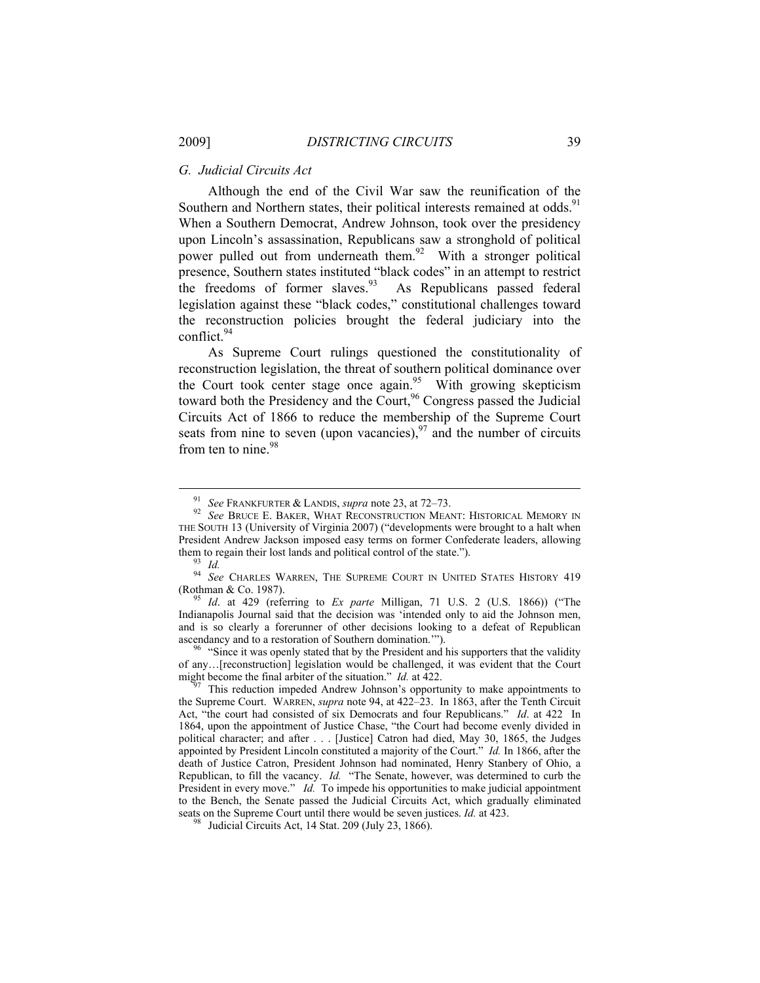## *G. Judicial Circuits Act*

Although the end of the Civil War saw the reunification of the Southern and Northern states, their political interests remained at odds.<sup>91</sup> When a Southern Democrat, Andrew Johnson, took over the presidency upon Lincoln's assassination, Republicans saw a stronghold of political power pulled out from underneath them.<sup>92</sup> With a stronger political presence, Southern states instituted "black codes" in an attempt to restrict the freedoms of former slaves.<sup>93</sup> As Republicans passed federal legislation against these "black codes," constitutional challenges toward the reconstruction policies brought the federal judiciary into the conflict.<sup>94</sup>

As Supreme Court rulings questioned the constitutionality of reconstruction legislation, the threat of southern political dominance over the Court took center stage once again.<sup>95</sup> With growing skepticism toward both the Presidency and the Court,<sup>96</sup> Congress passed the Judicial Circuits Act of 1866 to reduce the membership of the Supreme Court seats from nine to seven (upon vacancies),  $97$  and the number of circuits from ten to nine.<sup>98</sup>

<sup>&</sup>lt;sup>91</sup> See Frankfurter & Landis, *supra* note 23, at 72–73.<br><sup>92</sup> See Bruce E. Baker, What Reconstruction Meant: Historical Memory in THE SOUTH 13 (University of Virginia 2007) ("developments were brought to a halt when President Andrew Jackson imposed easy terms on former Confederate leaders, allowing them to regain their lost lands and political control of the state.").<br><sup>93</sup> Id

<sup>&</sup>lt;sup>94</sup> See CHARLES WARREN, THE SUPREME COURT IN UNITED STATES HISTORY 419 (Rothman & Co. 1987). 95 *Id*. at 429 (referring to *Ex parte* Milligan, 71 U.S. 2 (U.S. 1866)) ("The

Indianapolis Journal said that the decision was 'intended only to aid the Johnson men, and is so clearly a forerunner of other decisions looking to a defeat of Republican ascendancy and to a restoration of Southern domination."").

<sup>&</sup>lt;sup>96</sup> "Since it was openly stated that by the President and his supporters that the validity of any...[reconstruction] legislation would be challenged, it was evident that the Court might become the final arbiter of the situation."  $Id$  at 422.

This reduction impeded Andrew Johnson's opportunity to make appointments to the Supreme Court. WARREN, *supra* note 94, at 422–23. In 1863, after the Tenth Circuit Act, "the court had consisted of six Democrats and four Republicans." *Id*. at 422 In 1864, upon the appointment of Justice Chase, "the Court had become evenly divided in political character; and after . . . [Justice] Catron had died, May 30, 1865, the Judges appointed by President Lincoln constituted a majority of the Court." *Id.* In 1866, after the death of Justice Catron, President Johnson had nominated, Henry Stanbery of Ohio, a Republican, to fill the vacancy. *Id.* "The Senate, however, was determined to curb the President in every move." *Id.* To impede his opportunities to make judicial appointment to the Bench, the Senate passed the Judicial Circuits Act, which gradually eliminated seats on the Supreme Court until there would be seven justices. *Id.* at 423. <sup>98</sup> Judicial Circuits Act, 14 Stat. 209 (July 23, 1866).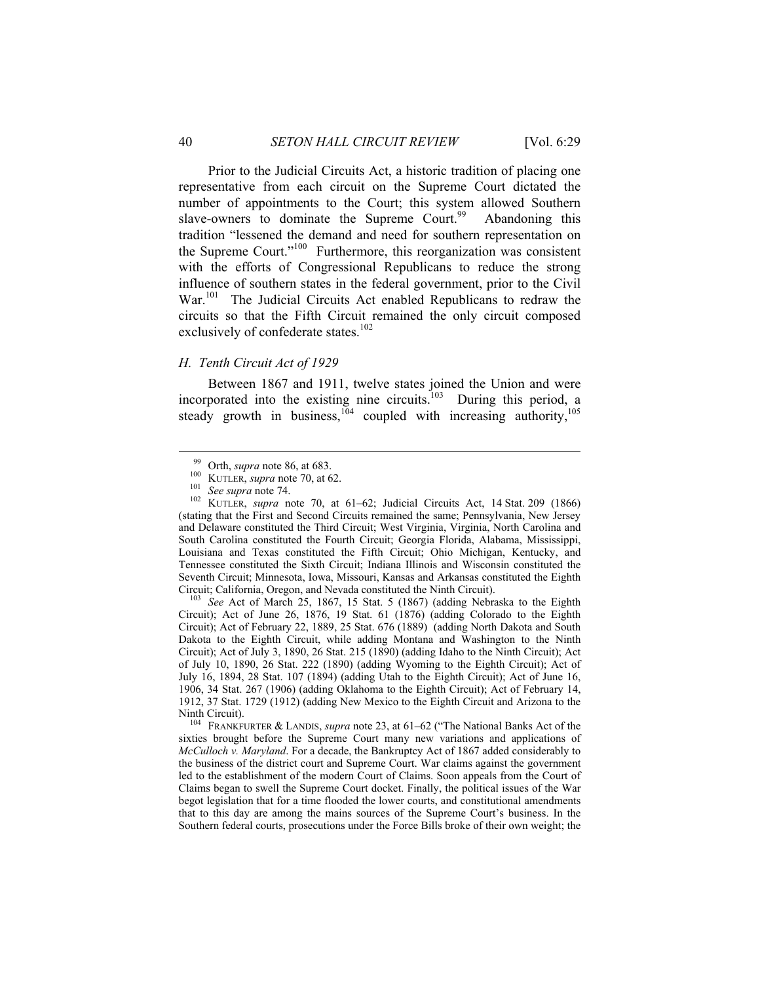Prior to the Judicial Circuits Act, a historic tradition of placing one representative from each circuit on the Supreme Court dictated the number of appointments to the Court; this system allowed Southern slave-owners to dominate the Supreme Court.<sup>99</sup> Abandoning this tradition "lessened the demand and need for southern representation on the Supreme Court."100 Furthermore, this reorganization was consistent with the efforts of Congressional Republicans to reduce the strong influence of southern states in the federal government, prior to the Civil War.<sup>101</sup> The Judicial Circuits Act enabled Republicans to redraw the circuits so that the Fifth Circuit remained the only circuit composed exclusively of confederate states. $102$ 

# *H. Tenth Circuit Act of 1929*

Between 1867 and 1911, twelve states joined the Union and were incorporated into the existing nine circuits.<sup>103</sup> During this period, a steady growth in business,  $104$  coupled with increasing authority,  $105$ 

Circuit); Act of June 26, 1876, 19 Stat. 61 (1876) (adding Colorado to the Eighth Circuit); Act of February 22, 1889, 25 Stat. 676 (1889) (adding North Dakota and South Dakota to the Eighth Circuit, while adding Montana and Washington to the Ninth Circuit); Act of July 3, 1890, 26 Stat. 215 (1890) (adding Idaho to the Ninth Circuit); Act of July 10, 1890, 26 Stat. 222 (1890) (adding Wyoming to the Eighth Circuit); Act of July 16, 1894, 28 Stat. 107 (1894) (adding Utah to the Eighth Circuit); Act of June 16, 1906, 34 Stat. 267 (1906) (adding Oklahoma to the Eighth Circuit); Act of February 14, 1912, 37 Stat. 1729 (1912) (adding New Mexico to the Eighth Circuit and Arizona to the

Ninth Circuit). 104 FRANKFURTER & LANDIS, *supra* note 23, at 61–62 ("The National Banks Act of the sixties brought before the Supreme Court many new variations and applications of *McCulloch v. Maryland*. For a decade, the Bankruptcy Act of 1867 added considerably to the business of the district court and Supreme Court. War claims against the government led to the establishment of the modern Court of Claims. Soon appeals from the Court of Claims began to swell the Supreme Court docket. Finally, the political issues of the War begot legislation that for a time flooded the lower courts, and constitutional amendments that to this day are among the mains sources of the Supreme Court's business. In the Southern federal courts, prosecutions under the Force Bills broke of their own weight; the

<sup>99</sup> Orth, *supra* note 86, at 683.<br>
<sup>100</sup> KUTLER, *supra* note 70, at 62.<br>
<sup>101</sup> See *supra* note 74.<br>
<sup>102</sup> KUTLER, *supra* note 70, at 61–62; Judicial Circuits Act, 14 Stat. 209 (1866) (stating that the First and Second Circuits remained the same; Pennsylvania, New Jersey and Delaware constituted the Third Circuit; West Virginia, Virginia, North Carolina and South Carolina constituted the Fourth Circuit; Georgia Florida, Alabama, Mississippi, Louisiana and Texas constituted the Fifth Circuit; Ohio Michigan, Kentucky, and Tennessee constituted the Sixth Circuit; Indiana Illinois and Wisconsin constituted the Seventh Circuit; Minnesota, Iowa, Missouri, Kansas and Arkansas constituted the Eighth Circuit; California, Oregon, and Nevada constituted the Ninth Circuit). 103 *See* Act of March 25, 1867, 15 Stat. 5 (1867) (adding Nebraska to the Eighth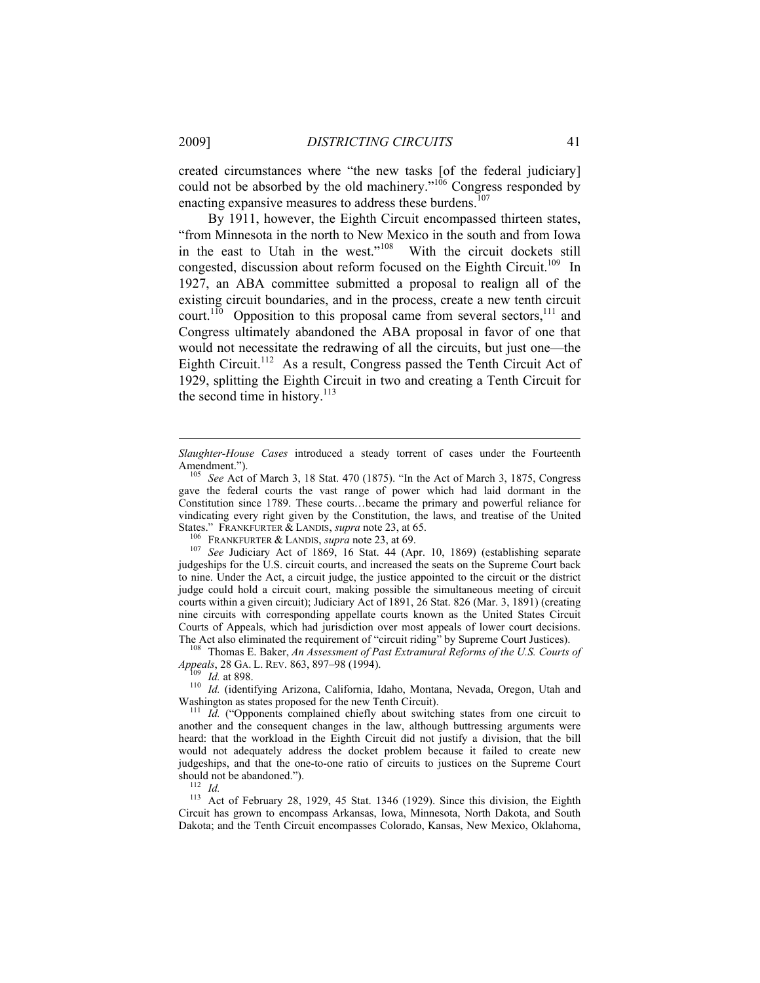created circumstances where "the new tasks [of the federal judiciary] could not be absorbed by the old machinery." $106$  Congress responded by enacting expansive measures to address these burdens.<sup>107</sup>

By 1911, however, the Eighth Circuit encompassed thirteen states, "from Minnesota in the north to New Mexico in the south and from Iowa in the east to Utah in the west."108 With the circuit dockets still congested, discussion about reform focused on the Eighth Circuit.<sup>109</sup> In 1927, an ABA committee submitted a proposal to realign all of the existing circuit boundaries, and in the process, create a new tenth circuit court.<sup>110</sup> Opposition to this proposal came from several sectors,<sup>111</sup> and Congress ultimately abandoned the ABA proposal in favor of one that would not necessitate the redrawing of all the circuits, but just one—the Eighth Circuit.<sup>112</sup> As a result, Congress passed the Tenth Circuit Act of 1929, splitting the Eighth Circuit in two and creating a Tenth Circuit for the second time in history. $^{113}$ 

<sup>108</sup> Thomas E. Baker, *An Assessment of Past Extramural Reforms of the U.S. Courts of Appeals*, 28 GA. L. REV. 863, 897–98 (1994).

<sup>4</sup><sup>109</sup> *Id.* at 898.<br><sup>110</sup> *Id.* (identifying Arizona, California, Idaho, Montana, Nevada, Oregon, Utah and Washington as states proposed for the new Tenth Circuit).

<sup>111</sup> *Id.* ("Opponents complained chiefly about switching states from one circuit to another and the consequent changes in the law, although buttressing arguments were heard: that the workload in the Eighth Circuit did not justify a division, that the bill would not adequately address the docket problem because it failed to create new judgeships, and that the one-to-one ratio of circuits to justices on the Supreme Court

should not be abandoned.").<br><sup>112</sup> *Id.* 213 Act of February 28, 1929, 45 Stat. 1346 (1929). Since this division, the Eighth<br><sup>113</sup> Act of February 28, 1929, 45 Stat. 1346 (1929). Since this division, the Eighth Circuit has grown to encompass Arkansas, Iowa, Minnesota, North Dakota, and South Dakota; and the Tenth Circuit encompasses Colorado, Kansas, New Mexico, Oklahoma,

*Slaughter-House Cases* introduced a steady torrent of cases under the Fourteenth Amendment."). 105 *See* Act of March 3, 18 Stat. 470 (1875). "In the Act of March 3, 1875, Congress

gave the federal courts the vast range of power which had laid dormant in the Constitution since 1789. These courts…became the primary and powerful reliance for vindicating every right given by the Constitution, the laws, and treatise of the United

States." FRANKFURTER & LANDIS, *supra* note 23, at 65.<br><sup>106</sup> FRANKFURTER & LANDIS, *supra* note 23, at 69.<br><sup>107</sup> *See* Judiciary Act of 1869, 16 Stat. 44 (Apr. 10, 1869) (establishing separate judgeships for the U.S. circuit courts, and increased the seats on the Supreme Court back to nine. Under the Act, a circuit judge, the justice appointed to the circuit or the district judge could hold a circuit court, making possible the simultaneous meeting of circuit courts within a given circuit); Judiciary Act of 1891, 26 Stat. 826 (Mar. 3, 1891) (creating nine circuits with corresponding appellate courts known as the United States Circuit Courts of Appeals, which had jurisdiction over most appeals of lower court decisions.<br>The Act also eliminated the requirement of "circuit riding" by Supreme Court Justices).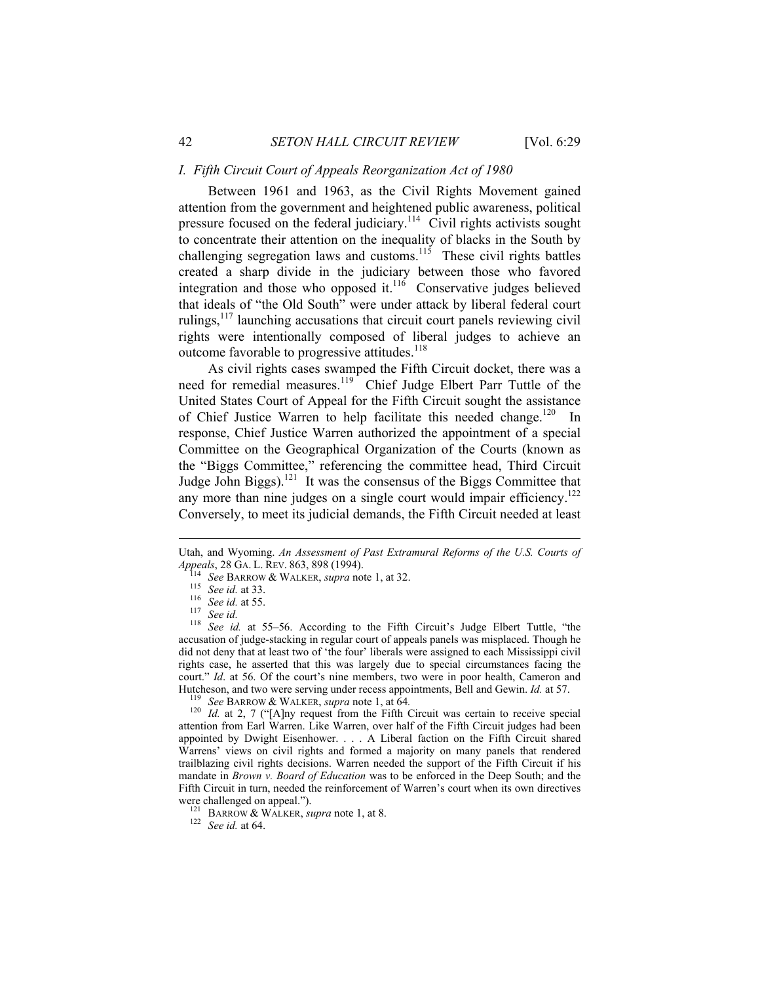## *I. Fifth Circuit Court of Appeals Reorganization Act of 1980*

Between 1961 and 1963, as the Civil Rights Movement gained attention from the government and heightened public awareness, political pressure focused on the federal judiciary.<sup>114</sup> Civil rights activists sought to concentrate their attention on the inequality of blacks in the South by challenging segregation laws and customs.<sup>115</sup> These civil rights battles created a sharp divide in the judiciary between those who favored integration and those who opposed it. $116$  Conservative judges believed that ideals of "the Old South" were under attack by liberal federal court rulings,117 launching accusations that circuit court panels reviewing civil rights were intentionally composed of liberal judges to achieve an outcome favorable to progressive attitudes.<sup>118</sup>

As civil rights cases swamped the Fifth Circuit docket, there was a need for remedial measures.<sup>119</sup> Chief Judge Elbert Parr Tuttle of the United States Court of Appeal for the Fifth Circuit sought the assistance of Chief Justice Warren to help facilitate this needed change.<sup>120</sup> In response, Chief Justice Warren authorized the appointment of a special Committee on the Geographical Organization of the Courts (known as the "Biggs Committee," referencing the committee head, Third Circuit Judge John Biggs).121 It was the consensus of the Biggs Committee that any more than nine judges on a single court would impair efficiency.<sup>122</sup> Conversely, to meet its judicial demands, the Fifth Circuit needed at least

 $\overline{a}$ 

<sup>119</sup> See BARROW & WALKER, *supra* note 1, at 64.<br><sup>120</sup> *Id.* at 2, 7 ("[A]ny request from the Fifth Circuit was certain to receive special attention from Earl Warren. Like Warren, over half of the Fifth Circuit judges had been appointed by Dwight Eisenhower. . . . A Liberal faction on the Fifth Circuit shared Warrens' views on civil rights and formed a majority on many panels that rendered trailblazing civil rights decisions. Warren needed the support of the Fifth Circuit if his mandate in *Brown v. Board of Education* was to be enforced in the Deep South; and the Fifth Circuit in turn, needed the reinforcement of Warren's court when its own directives were challenged on appeal.").<br><sup>121</sup> BARROW & WALKER, *supra* note 1, at 8.<br><sup>122</sup> *See id.* at 64.

Utah, and Wyoming. *An Assessment of Past Extramural Reforms of the U.S. Courts of* 

*Appeals*, 28 GA. L. REV. 863, 898 (1994).<br><sup>114</sup> See BARROW & WALKER, *supra* note 1, at 32.<br><sup>115</sup> See id. at 33.<br><sup>116</sup> See id. at 55.<br><sup>117</sup> See id. at 55–56. According to the Fifth Circuit's Judge Elbert Tuttle, "the<br><sup>11</sup> accusation of judge-stacking in regular court of appeals panels was misplaced. Though he did not deny that at least two of 'the four' liberals were assigned to each Mississippi civil rights case, he asserted that this was largely due to special circumstances facing the court." *Id.* at 56. Of the court's nine members, two were in poor health, Cameron and Hutcheson, and two were serving under recess appointments, Bell and Gewin. *Id.* at 57.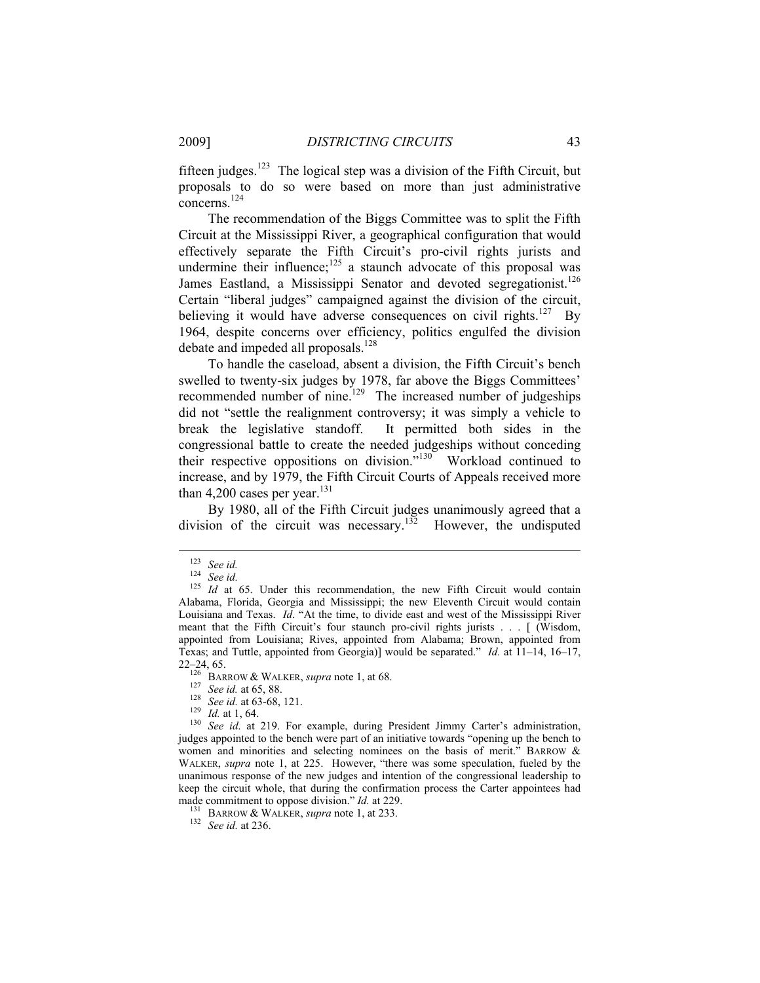fifteen judges.<sup>123</sup> The logical step was a division of the Fifth Circuit, but proposals to do so were based on more than just administrative concerns.<sup>124</sup>

The recommendation of the Biggs Committee was to split the Fifth Circuit at the Mississippi River, a geographical configuration that would effectively separate the Fifth Circuit's pro-civil rights jurists and undermine their influence; $125$  a staunch advocate of this proposal was James Eastland, a Mississippi Senator and devoted segregationist.<sup>126</sup> Certain "liberal judges" campaigned against the division of the circuit, believing it would have adverse consequences on civil rights.<sup>127</sup> By 1964, despite concerns over efficiency, politics engulfed the division debate and impeded all proposals.<sup>128</sup>

To handle the caseload, absent a division, the Fifth Circuit's bench swelled to twenty-six judges by 1978, far above the Biggs Committees' recommended number of nine.<sup>129</sup> The increased number of judgeships did not "settle the realignment controversy; it was simply a vehicle to break the legislative standoff. It permitted both sides in the congressional battle to create the needed judgeships without conceding their respective oppositions on division."130 Workload continued to increase, and by 1979, the Fifth Circuit Courts of Appeals received more than 4,200 cases per year. $131$ 

By 1980, all of the Fifth Circuit judges unanimously agreed that a division of the circuit was necessary.<sup>132</sup> However, the undisputed

judges appointed to the bench were part of an initiative towards "opening up the bench to women and minorities and selecting nominees on the basis of merit." BARROW & WALKER, *supra* note 1, at 225. However, "there was some speculation, fueled by the unanimous response of the new judges and intention of the congressional leadership to keep the circuit whole, that during the confirmation process the Carter appointees had made commitment to oppose division." *Id.* at 229.<br><sup>131</sup> BARROW & WALKER, *supra* note 1, at 233.<br><sup>132</sup> See id. at 236.

<sup>123</sup> *See id.* <sup>124</sup> *See id.* <sup>125</sup> *Id* at 65. Under this recommendation, the new Fifth Circuit would contain Alabama, Florida, Georgia and Mississippi; the new Eleventh Circuit would contain Louisiana and Texas. *Id*. "At the time, to divide east and west of the Mississippi River meant that the Fifth Circuit's four staunch pro-civil rights jurists . . . [ (Wisdom, appointed from Louisiana; Rives, appointed from Alabama; Brown, appointed from Texas; and Tuttle, appointed from Georgia)] would be separated." *Id.* at 11–14, 16–17, 22–24, 65.<br>
<sup>126</sup> BARROW & WALKER, *supra* note 1, at 68.<br>
<sup>127</sup> See id. at 65, 88.<br>
<sup>128</sup> See id. at 63-68, 121.<br>
<sup>129</sup> Id. at 1, 64.<br>
<sup>129</sup> See id. at 219. For example, during President Jimmy Carter's administration,<br>
<sup></sup>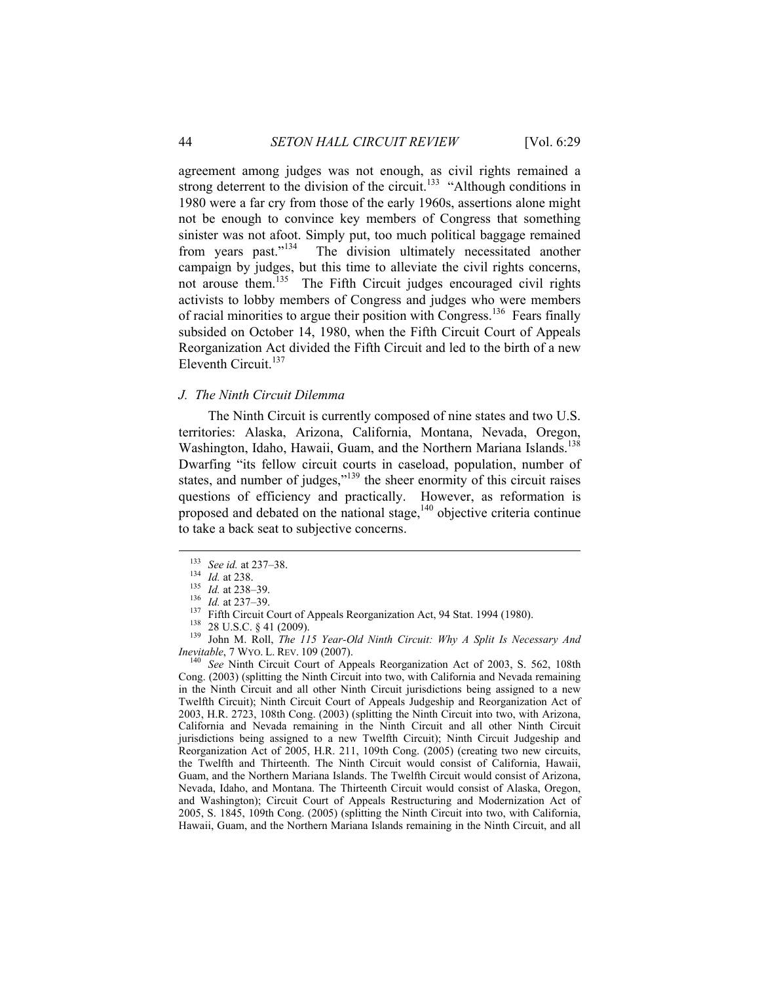agreement among judges was not enough, as civil rights remained a strong deterrent to the division of the circuit.<sup>133</sup> "Although conditions in 1980 were a far cry from those of the early 1960s, assertions alone might not be enough to convince key members of Congress that something sinister was not afoot. Simply put, too much political baggage remained from years past."134 The division ultimately necessitated another campaign by judges, but this time to alleviate the civil rights concerns, not arouse them.<sup>135</sup> The Fifth Circuit judges encouraged civil rights activists to lobby members of Congress and judges who were members of racial minorities to argue their position with Congress.<sup>136</sup> Fears finally subsided on October 14, 1980, when the Fifth Circuit Court of Appeals Reorganization Act divided the Fifth Circuit and led to the birth of a new Eleventh Circuit.<sup>137</sup>

## *J. The Ninth Circuit Dilemma*

The Ninth Circuit is currently composed of nine states and two U.S. territories: Alaska, Arizona, California, Montana, Nevada, Oregon, Washington, Idaho, Hawaii, Guam, and the Northern Mariana Islands.<sup>138</sup> Dwarfing "its fellow circuit courts in caseload, population, number of states, and number of judges,"<sup>139</sup> the sheer enormity of this circuit raises questions of efficiency and practically. However, as reformation is proposed and debated on the national stage, $140$  objective criteria continue to take a back seat to subjective concerns.

<sup>133</sup> See id. at 237–38.<br>
<sup>134</sup> Id. at 238.<br>
<sup>135</sup> Id. at 238–39.<br>
<sup>136</sup> Id. at 237–39.<br>
<sup>136</sup> Id. at 237–39.<br>
<sup>137</sup> Fifth Circuit Court of Appeals Reorganization Act, 94 Stat. 1994 (1980).<br>
<sup>138</sup> 28 U.S.C. § 41 (2009).<br> *Inevitable*, 7 WYO. L. REV. 109 (2007).<br><sup>140</sup> See Ninth Circuit Court of Appeals Reorganization Act of 2003, S. 562, 108th

Cong. (2003) (splitting the Ninth Circuit into two, with California and Nevada remaining in the Ninth Circuit and all other Ninth Circuit jurisdictions being assigned to a new Twelfth Circuit); Ninth Circuit Court of Appeals Judgeship and Reorganization Act of 2003, H.R. 2723, 108th Cong. (2003) (splitting the Ninth Circuit into two, with Arizona, California and Nevada remaining in the Ninth Circuit and all other Ninth Circuit jurisdictions being assigned to a new Twelfth Circuit); Ninth Circuit Judgeship and Reorganization Act of 2005, H.R. 211, 109th Cong. (2005) (creating two new circuits, the Twelfth and Thirteenth. The Ninth Circuit would consist of California, Hawaii, Guam, and the Northern Mariana Islands. The Twelfth Circuit would consist of Arizona, Nevada, Idaho, and Montana. The Thirteenth Circuit would consist of Alaska, Oregon, and Washington); Circuit Court of Appeals Restructuring and Modernization Act of 2005, S. 1845, 109th Cong. (2005) (splitting the Ninth Circuit into two, with California, Hawaii, Guam, and the Northern Mariana Islands remaining in the Ninth Circuit, and all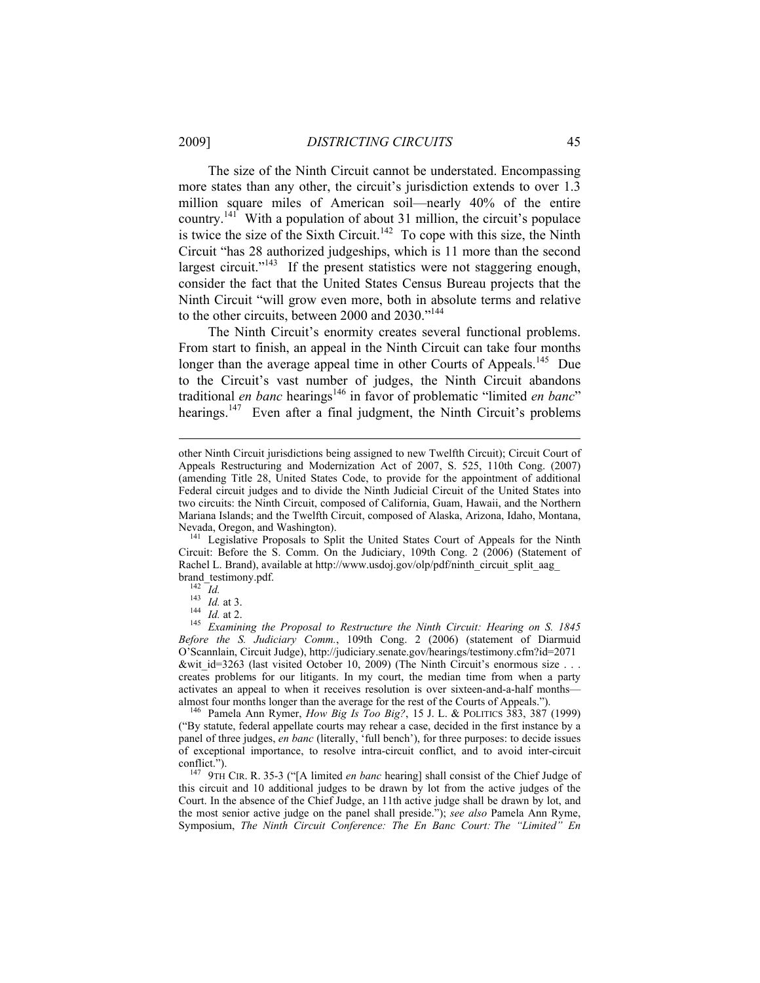The size of the Ninth Circuit cannot be understated. Encompassing more states than any other, the circuit's jurisdiction extends to over 1.3 million square miles of American soil—nearly 40% of the entire country.<sup>141</sup> With a population of about 31 million, the circuit's populace is twice the size of the Sixth Circuit.<sup>142</sup> To cope with this size, the Ninth Circuit "has 28 authorized judgeships, which is 11 more than the second largest circuit."<sup>143</sup> If the present statistics were not staggering enough, consider the fact that the United States Census Bureau projects that the Ninth Circuit "will grow even more, both in absolute terms and relative to the other circuits, between 2000 and 2030."<sup>144</sup>

The Ninth Circuit's enormity creates several functional problems. From start to finish, an appeal in the Ninth Circuit can take four months longer than the average appeal time in other Courts of Appeals.<sup>145</sup> Due to the Circuit's vast number of judges, the Ninth Circuit abandons traditional *en banc* hearings<sup>146</sup> in favor of problematic "limited *en banc*" hearings.<sup>147</sup> Even after a final judgment, the Ninth Circuit's problems

Circuit: Before the S. Comm. On the Judiciary, 109th Cong. 2 (2006) (Statement of Rachel L. Brand), available at http://www.usdoj.gov/olp/pdf/ninth\_circuit\_split\_aag\_<br>brand\_testimony.pdf.

 $\overline{a}$ 

("By statute, federal appellate courts may rehear a case, decided in the first instance by a panel of three judges, *en banc* (literally, 'full bench'), for three purposes: to decide issues of exceptional importance, to resolve intra-circuit conflict, and to avoid inter-circuit

<sup>147</sup> 9TH CIR. R. 35-3 ("[A limited *en banc* hearing] shall consist of the Chief Judge of this circuit and 10 additional judges to be drawn by lot from the active judges of the Court. In the absence of the Chief Judge, an 11th active judge shall be drawn by lot, and the most senior active judge on the panel shall preside."); *see also* Pamela Ann Ryme, Symposium, *The Ninth Circuit Conference: The En Banc Court: The "Limited" En* 

other Ninth Circuit jurisdictions being assigned to new Twelfth Circuit); Circuit Court of Appeals Restructuring and Modernization Act of 2007, S. 525, 110th Cong. (2007) (amending Title 28, United States Code, to provide for the appointment of additional Federal circuit judges and to divide the Ninth Judicial Circuit of the United States into two circuits: the Ninth Circuit, composed of California, Guam, Hawaii, and the Northern Mariana Islands; and the Twelfth Circuit, composed of Alaska, Arizona, Idaho, Montana, Nevada, Oregon, and Washington). 141 Legislative Proposals to Split the United States Court of Appeals for the Ninth

brand\_testimony.pdf. 142 *Id.* <sup>143</sup> *Id.* at 3. 144 *Id.* at 2. 145 *Examining the Proposal to Restructure the Ninth Circuit: Hearing on S. 1845 Before the S. Judiciary Comm.*, 109th Cong. 2 (2006) (statement of Diarmuid O'Scannlain, Circuit Judge), http://judiciary.senate.gov/hearings/testimony.cfm?id=2071 &wit id=3263 (last visited October 10, 2009) (The Ninth Circuit's enormous size . . . creates problems for our litigants. In my court, the median time from when a party activates an appeal to when it receives resolution is over sixteen-and-a-half months almost four months longer than the average for the rest of the Courts of Appeals."). 146 Pamela Ann Rymer, *How Big Is Too Big?*, 15 J. L. & POLITICS 383, 387 (1999)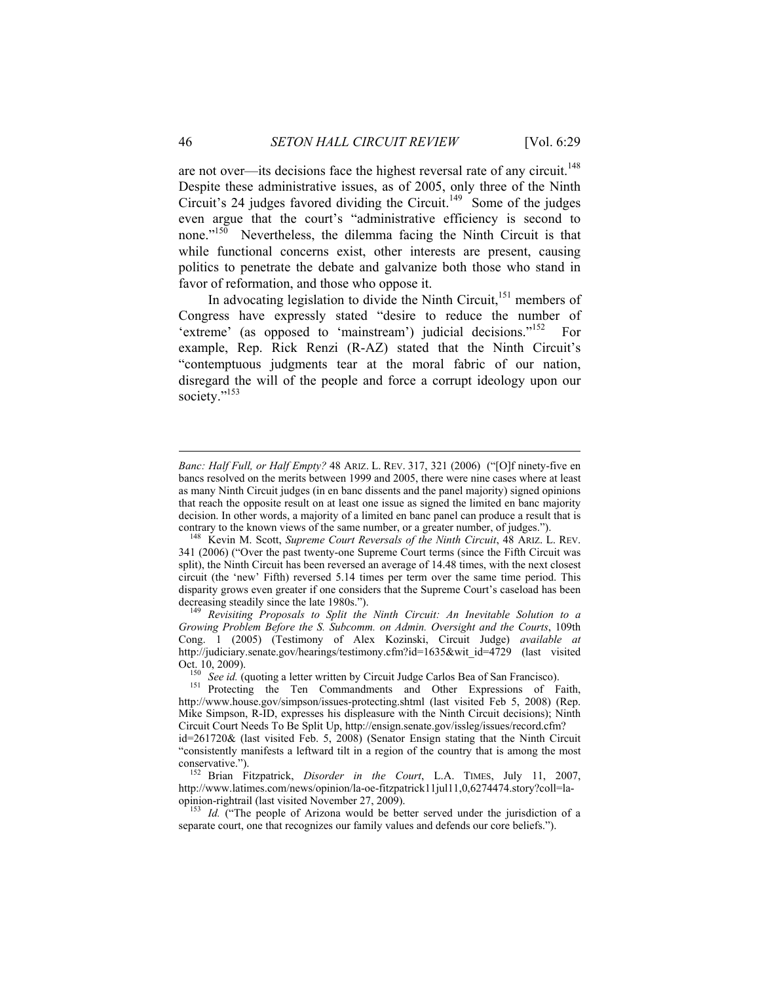are not over—its decisions face the highest reversal rate of any circuit.<sup>148</sup> Despite these administrative issues, as of 2005, only three of the Ninth Circuit's 24 judges favored dividing the Circuit.<sup>149</sup> Some of the judges even argue that the court's "administrative efficiency is second to none." $150$  Nevertheless, the dilemma facing the Ninth Circuit is that while functional concerns exist, other interests are present, causing politics to penetrate the debate and galvanize both those who stand in favor of reformation, and those who oppose it.

In advocating legislation to divide the Ninth Circuit,<sup>151</sup> members of Congress have expressly stated "desire to reduce the number of 'extreme' (as opposed to 'mainstream') judicial decisions."<sup>152</sup> For example, Rep. Rick Renzi (R-AZ) stated that the Ninth Circuit's "contemptuous judgments tear at the moral fabric of our nation, disregard the will of the people and force a corrupt ideology upon our society."<sup>153</sup>

*Growing Problem Before the S. Subcomm. on Admin. Oversight and the Courts*, 109th Cong. 1 (2005) (Testimony of Alex Kozinski, Circuit Judge) *available at* http://judiciary.senate.gov/hearings/testimony.cfm?id=1635&wit\_id=4729 (last visited

*Banc: Half Full, or Half Empty?* 48 ARIZ. L. REV. 317, 321 (2006) ("[O]f ninety-five en bancs resolved on the merits between 1999 and 2005, there were nine cases where at least as many Ninth Circuit judges (in en banc dissents and the panel majority) signed opinions that reach the opposite result on at least one issue as signed the limited en banc majority decision. In other words, a majority of a limited en banc panel can produce a result that is contrary to the known views of the same number, or a greater number, of judges."). 148 Kevin M. Scott, *Supreme Court Reversals of the Ninth Circuit*, 48 ARIZ. L. REV.

<sup>341 (2006) (&</sup>quot;Over the past twenty-one Supreme Court terms (since the Fifth Circuit was split), the Ninth Circuit has been reversed an average of 14.48 times, with the next closest circuit (the 'new' Fifth) reversed 5.14 times per term over the same time period. This disparity grows even greater if one considers that the Supreme Court's caseload has been decreasing steadily since the late 1980s.").<br><sup>149</sup> Revisiting Proposals to Split the Ninth Circuit: An Inevitable Solution to a

Oct. 10, 2009). <sup>150</sup> *See id.* (quoting a letter written by Circuit Judge Carlos Bea of San Francisco). <br><sup>151</sup> Protecting the Ten Commandments and Other Expressions of Faith, http://www.house.gov/simpson/issues-protecting.shtml (last visited Feb 5, 2008) (Rep. Mike Simpson, R-ID, expresses his displeasure with the Ninth Circuit decisions); Ninth Circuit Court Needs To Be Split Up, http://ensign.senate.gov/issleg/issues/record.cfm? id=261720& (last visited Feb. 5, 2008) (Senator Ensign stating that the Ninth Circuit

<sup>&</sup>quot;consistently manifests a leftward tilt in a region of the country that is among the most conservative.").

<sup>&</sup>lt;sup>152</sup> Brian Fitzpatrick, *Disorder in the Court*, L.A. TIMES, July 11, 2007, http://www.latimes.com/news/opinion/la-oe-fitzpatrick11jul11,0,6274474.story?coll=la-<br>opinion-rightrail (last visited November 27, 2009).

<sup>&</sup>lt;sup>153</sup> Id. ("The people of Arizona would be better served under the jurisdiction of a separate court, one that recognizes our family values and defends our core beliefs.").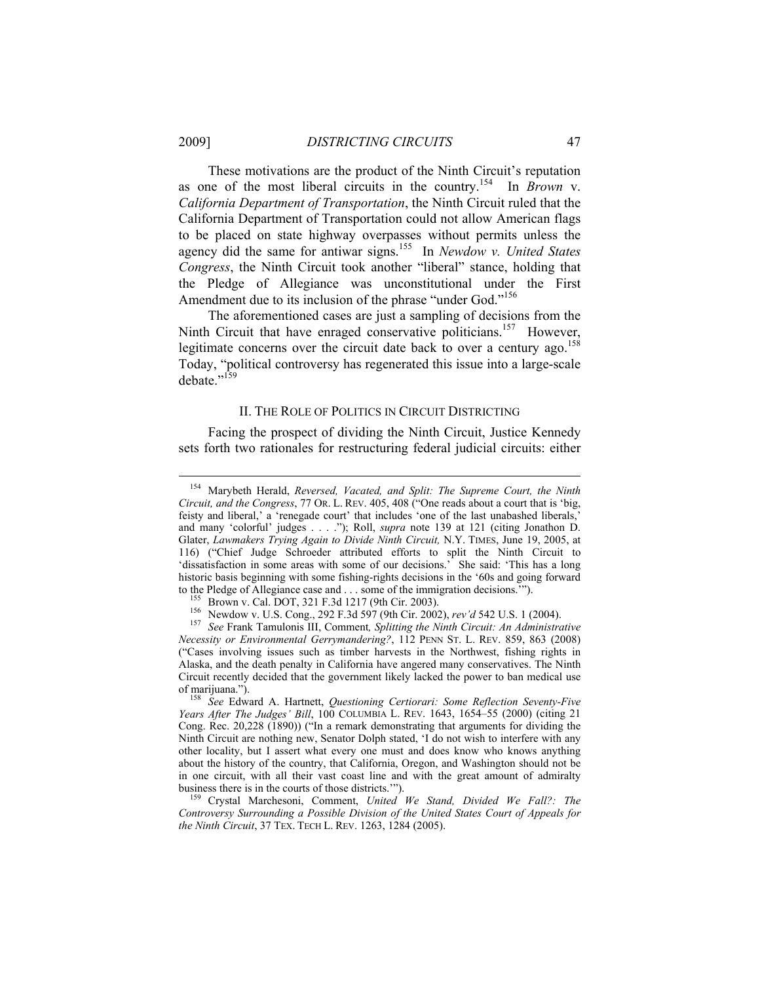These motivations are the product of the Ninth Circuit's reputation as one of the most liberal circuits in the country.154 In *Brown* v. *California Department of Transportation*, the Ninth Circuit ruled that the California Department of Transportation could not allow American flags to be placed on state highway overpasses without permits unless the agency did the same for antiwar signs.155 In *Newdow v. United States Congress*, the Ninth Circuit took another "liberal" stance, holding that the Pledge of Allegiance was unconstitutional under the First Amendment due to its inclusion of the phrase "under God."<sup>156</sup>

The aforementioned cases are just a sampling of decisions from the Ninth Circuit that have enraged conservative politicians.<sup>157</sup> However, legitimate concerns over the circuit date back to over a century ago.<sup>158</sup> Today, "political controversy has regenerated this issue into a large-scale debate."<sup>159</sup>

#### II. THE ROLE OF POLITICS IN CIRCUIT DISTRICTING

Facing the prospect of dividing the Ninth Circuit, Justice Kennedy sets forth two rationales for restructuring federal judicial circuits: either

 <sup>154</sup> Marybeth Herald, *Reversed, Vacated, and Split: The Supreme Court, the Ninth Circuit, and the Congress*, 77 OR. L. REV. 405, 408 ("One reads about a court that is 'big, feisty and liberal,' a 'renegade court' that includes 'one of the last unabashed liberals,' and many 'colorful' judges . . . ."); Roll, *supra* note 139 at 121 (citing Jonathon D. Glater, *Lawmakers Trying Again to Divide Ninth Circuit,* N.Y. TIMES, June 19, 2005, at 116) ("Chief Judge Schroeder attributed efforts to split the Ninth Circuit to 'dissatisfaction in some areas with some of our decisions.'<sup>5</sup> She said: 'This has a long historic basis beginning with some fishing-rights decisions in the '60s and going forward

to the Pledge of Allegiance case and ... some of the immigration decisions."").<br><sup>155</sup> Brown v. Cal. DOT, 321 F.3d 1217 (9th Cir. 2003).<br><sup>156</sup> Newdow v. U.S. Cong., 292 F.3d 597 (9th Cir. 2002), *rev'd* 542 U.S. 1 (2004).<br> *Necessity or Environmental Gerrymandering?*, 112 PENN ST. L. REV. 859, 863 (2008) ("Cases involving issues such as timber harvests in the Northwest, fishing rights in Alaska, and the death penalty in California have angered many conservatives. The Ninth Circuit recently decided that the government likely lacked the power to ban medical use

See Edward A. Hartnett, *Questioning Certiorari: Some Reflection Seventy-Five Years After The Judges' Bill*, 100 COLUMBIA L. REV. 1643, 1654–55 (2000) (citing 21 Cong. Rec. 20,228 (1890)) ("In a remark demonstrating that arguments for dividing the Ninth Circuit are nothing new, Senator Dolph stated, 'I do not wish to interfere with any other locality, but I assert what every one must and does know who knows anything about the history of the country, that California, Oregon, and Washington should not be in one circuit, with all their vast coast line and with the great amount of admiralty business there is in the courts of those districts.'"). 159 Crystal Marchesoni, Comment, *United We Stand, Divided We Fall?: The* 

*Controversy Surrounding a Possible Division of the United States Court of Appeals for the Ninth Circuit*, 37 TEX. TECH L. REV. 1263, 1284 (2005).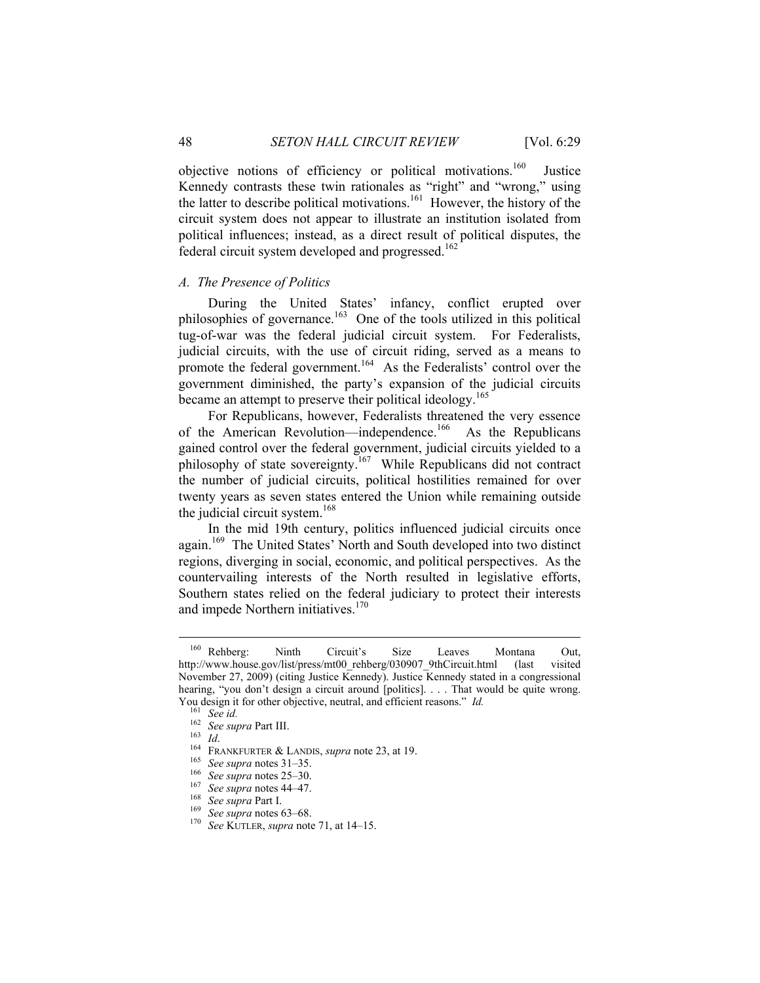objective notions of efficiency or political motivations.160 Justice Kennedy contrasts these twin rationales as "right" and "wrong," using the latter to describe political motivations.<sup>161</sup> However, the history of the circuit system does not appear to illustrate an institution isolated from political influences; instead, as a direct result of political disputes, the federal circuit system developed and progressed.<sup>162</sup>

## *A. The Presence of Politics*

During the United States' infancy, conflict erupted over philosophies of governance.<sup>163</sup> One of the tools utilized in this political tug-of-war was the federal judicial circuit system. For Federalists, judicial circuits, with the use of circuit riding, served as a means to promote the federal government.<sup>164</sup> As the Federalists' control over the government diminished, the party's expansion of the judicial circuits became an attempt to preserve their political ideology.<sup>165</sup>

For Republicans, however, Federalists threatened the very essence of the American Revolution—independence.<sup>166</sup> As the Republicans gained control over the federal government, judicial circuits yielded to a philosophy of state sovereignty.<sup>167</sup> While Republicans did not contract the number of judicial circuits, political hostilities remained for over twenty years as seven states entered the Union while remaining outside the judicial circuit system.<sup>168</sup>

In the mid 19th century, politics influenced judicial circuits once again.<sup>169</sup> The United States' North and South developed into two distinct regions, diverging in social, economic, and political perspectives. As the countervailing interests of the North resulted in legislative efforts, Southern states relied on the federal judiciary to protect their interests and impede Northern initiatives.<sup>170</sup>

 <sup>160</sup> Rehberg: Ninth Circuit's Size Leaves Montana Out, http://www.house.gov/list/press/mt00\_rehberg/030907\_9thCircuit.html (last visited November 27, 2009) (citing Justice Kennedy). Justice Kennedy stated in a congressional hearing, "you don't design a circuit around [politics]. . . . That would be quite wrong. You design it for other objective, neutral, and efficient reasons." *Id.*<br>
<sup>161</sup> See id.<br>
<sup>162</sup> See supra Part III.<br>
<sup>163</sup> Id.<br>
<sup>164</sup> FRANKFURTER & LANDIS, supra note 23, at 19.<br>
<sup>165</sup> See supra notes 31–35.<br>
<sup>166</sup> See su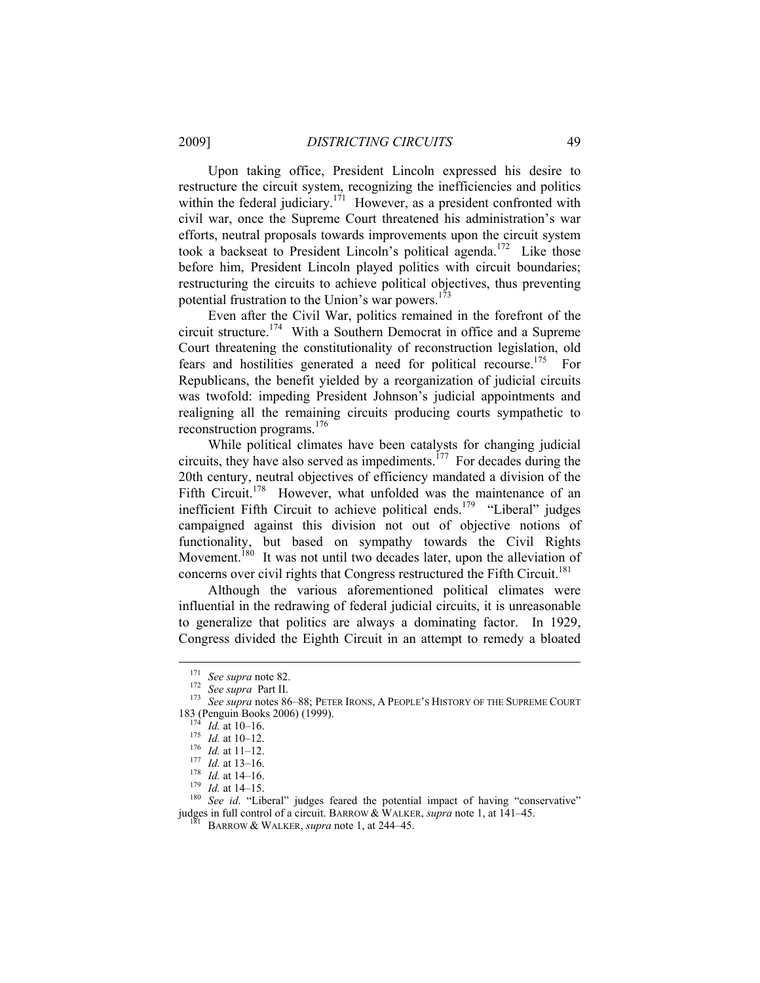Upon taking office, President Lincoln expressed his desire to restructure the circuit system, recognizing the inefficiencies and politics within the federal judiciary.<sup>171</sup> However, as a president confronted with civil war, once the Supreme Court threatened his administration's war efforts, neutral proposals towards improvements upon the circuit system took a backseat to President Lincoln's political agenda.<sup>172</sup> Like those before him, President Lincoln played politics with circuit boundaries; restructuring the circuits to achieve political objectives, thus preventing potential frustration to the Union's war powers.<sup>173</sup>

Even after the Civil War, politics remained in the forefront of the circuit structure.<sup>174</sup> With a Southern Democrat in office and a Supreme Court threatening the constitutionality of reconstruction legislation, old fears and hostilities generated a need for political recourse.<sup>175</sup> For Republicans, the benefit yielded by a reorganization of judicial circuits was twofold: impeding President Johnson's judicial appointments and realigning all the remaining circuits producing courts sympathetic to reconstruction programs. $176$ 

While political climates have been catalysts for changing judicial circuits, they have also served as impediments.<sup>177</sup> For decades during the 20th century, neutral objectives of efficiency mandated a division of the Fifth Circuit.<sup>178</sup> However, what unfolded was the maintenance of an inefficient Fifth Circuit to achieve political ends.<sup>179</sup> "Liberal" judges campaigned against this division not out of objective notions of functionality, but based on sympathy towards the Civil Rights Movement.<sup>180</sup> It was not until two decades later, upon the alleviation of concerns over civil rights that Congress restructured the Fifth Circuit.<sup>181</sup>

Although the various aforementioned political climates were influential in the redrawing of federal judicial circuits, it is unreasonable to generalize that politics are always a dominating factor. In 1929, Congress divided the Eighth Circuit in an attempt to remedy a bloated

<sup>171</sup> *See supra* note 82. 172 *See supra* Part II. 173 *See supra* notes 86–88; PETER IRONS, <sup>A</sup> PEOPLE'S HISTORY OF THE SUPREME COURT

<sup>183 (</sup>Penguin Books 2006) (1999).<br>
<sup>174</sup> *Id.* at 10–16.<br>
<sup>175</sup> *Id.* at 10–12.<br>
<sup>176</sup> *Id.* at 11–12.<br>
<sup>177</sup> *Id.* at 13–16.<br>
<sup>178</sup> *Id.* at 14–16.<br>
<sup>178</sup> *Id.* at 14–15.<br>
<sup>179</sup> *Id.* at 14–15.<br>
<sup>180</sup> *See id.* "Liberal" judges in full control of a circuit. BARROW & WALKER, *supra* note 1, at 141–45. 181 BARROW & WALKER, *supra* note 1, at 244–45.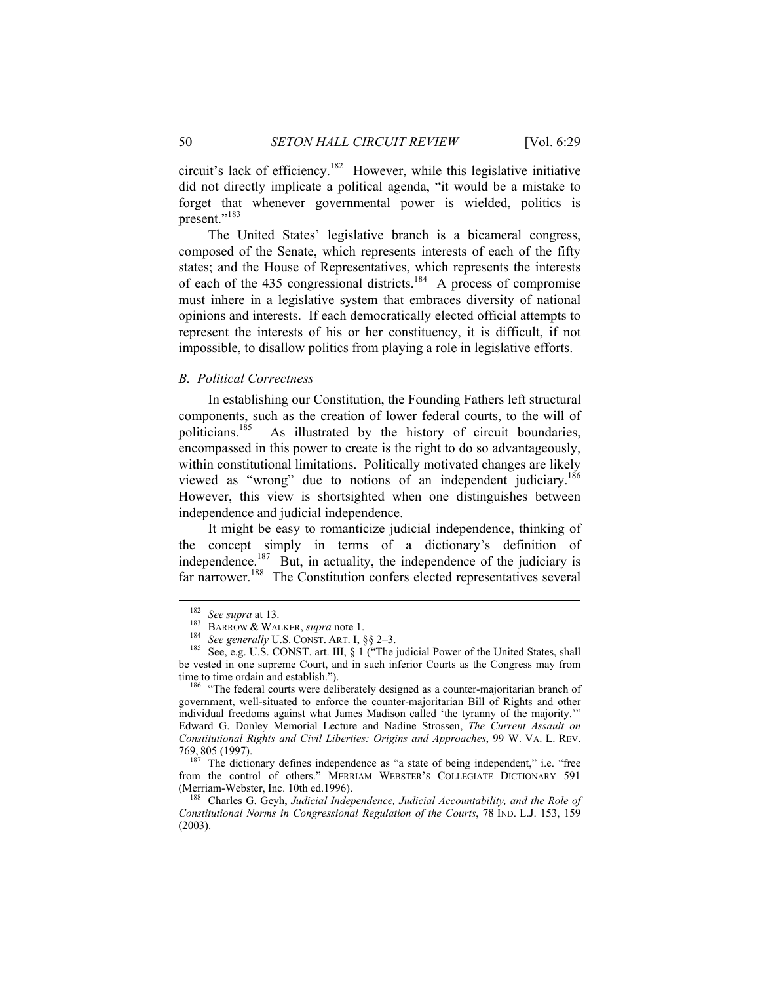circuit's lack of efficiency.182 However, while this legislative initiative did not directly implicate a political agenda, "it would be a mistake to forget that whenever governmental power is wielded, politics is present."<sup>183</sup>

The United States' legislative branch is a bicameral congress, composed of the Senate, which represents interests of each of the fifty states; and the House of Representatives, which represents the interests of each of the 435 congressional districts.<sup>184</sup> A process of compromise must inhere in a legislative system that embraces diversity of national opinions and interests. If each democratically elected official attempts to represent the interests of his or her constituency, it is difficult, if not impossible, to disallow politics from playing a role in legislative efforts.

#### *B. Political Correctness*

In establishing our Constitution, the Founding Fathers left structural components, such as the creation of lower federal courts, to the will of politicians.<sup>185</sup> As illustrated by the history of circuit boundaries, encompassed in this power to create is the right to do so advantageously, within constitutional limitations. Politically motivated changes are likely viewed as "wrong" due to notions of an independent judiciary.<sup>186</sup> However, this view is shortsighted when one distinguishes between independence and judicial independence.

It might be easy to romanticize judicial independence, thinking of the concept simply in terms of a dictionary's definition of independence.<sup>187</sup> But, in actuality, the independence of the judiciary is far narrower.<sup>188</sup> The Constitution confers elected representatives several

<sup>&</sup>lt;sup>182</sup> See supra at 13.<br><sup>183</sup> BARROW & WALKER, *supra* note 1.<br><sup>184</sup> See generally U.S. CONST. ART. I, §§ 2–3.<br><sup>185</sup> See, e.g. U.S. CONST. art. III, § 1 ("The judicial Power of the United States, shall be vested in one supreme Court, and in such inferior Courts as the Congress may from time to time ordain and establish.").<br><sup>186</sup> "The federal courts were deliberately designed as a counter-majoritarian branch of

government, well-situated to enforce the counter-majoritarian Bill of Rights and other individual freedoms against what James Madison called 'the tyranny of the majority.'" Edward G. Donley Memorial Lecture and Nadine Strossen, *The Current Assault on Constitutional Rights and Civil Liberties: Origins and Approaches*, 99 W. VA. L. REV.

<sup>769,</sup> 805 (1997). 187 The dictionary defines independence as "a state of being independent," i.e. "free from the control of others." MERRIAM WEBSTER'S COLLEGIATE DICTIONARY 591 (Merriam-Webster, Inc. 10th ed.1996).<br><sup>188</sup> Charles G. Geyh, *Judicial Independence, Judicial Accountability, and the Role of* 

*Constitutional Norms in Congressional Regulation of the Courts*, 78 IND. L.J. 153, 159 (2003).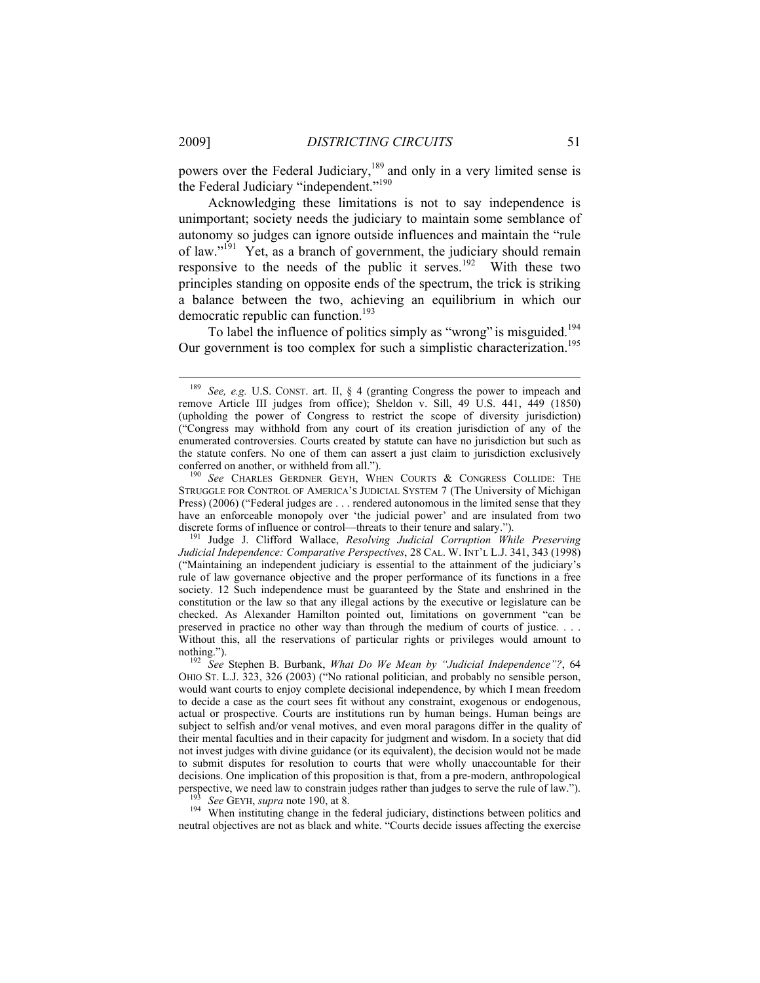powers over the Federal Judiciary,<sup>189</sup> and only in a very limited sense is the Federal Judiciary "independent."<sup>190</sup>

Acknowledging these limitations is not to say independence is unimportant; society needs the judiciary to maintain some semblance of autonomy so judges can ignore outside influences and maintain the "rule of law."<sup>191</sup> Yet, as a branch of government, the judiciary should remain responsive to the needs of the public it serves.<sup>192</sup> With these two principles standing on opposite ends of the spectrum, the trick is striking a balance between the two, achieving an equilibrium in which our democratic republic can function.<sup>193</sup>

To label the influence of politics simply as "wrong" is misguided.<sup>194</sup> Our government is too complex for such a simplistic characterization.<sup>195</sup>

neutral objectives are not as black and white. "Courts decide issues affecting the exercise

 <sup>189</sup> *See, e.g.* U.S. CONST. art. II, § 4 (granting Congress the power to impeach and remove Article III judges from office); Sheldon v. Sill, 49 U.S. 441, 449 (1850) (upholding the power of Congress to restrict the scope of diversity jurisdiction) ("Congress may withhold from any court of its creation jurisdiction of any of the enumerated controversies. Courts created by statute can have no jurisdiction but such as the statute confers. No one of them can assert a just claim to jurisdiction exclusively conferred on another, or withheld from all.").

<sup>&</sup>lt;sup>190</sup> See CHARLES GERDNER GEYH, WHEN COURTS & CONGRESS COLLIDE: THE STRUGGLE FOR CONTROL OF AMERICA'S JUDICIAL SYSTEM 7 (The University of Michigan Press) (2006) ("Federal judges are . . . rendered autonomous in the limited sense that they have an enforceable monopoly over 'the judicial power' and are insulated from two discrete forms of influence or control—threats to their tenure and salary."). 191 Judge J. Clifford Wallace, *Resolving Judicial Corruption While Preserving* 

*Judicial Independence: Comparative Perspectives*, 28 CAL. W. INT'L L.J. 341, 343 (1998) ("Maintaining an independent judiciary is essential to the attainment of the judiciary's rule of law governance objective and the proper performance of its functions in a free society. 12 Such independence must be guaranteed by the State and enshrined in the constitution or the law so that any illegal actions by the executive or legislature can be checked. As Alexander Hamilton pointed out, limitations on government "can be preserved in practice no other way than through the medium of courts of justice. . . . Without this, all the reservations of particular rights or privileges would amount to nothing."). 192 *See* Stephen B. Burbank, *What Do We Mean by "Judicial Independence"?*, 64

OHIO ST. L.J. 323, 326 (2003) ("No rational politician, and probably no sensible person, would want courts to enjoy complete decisional independence, by which I mean freedom to decide a case as the court sees fit without any constraint, exogenous or endogenous, actual or prospective. Courts are institutions run by human beings. Human beings are subject to selfish and/or venal motives, and even moral paragons differ in the quality of their mental faculties and in their capacity for judgment and wisdom. In a society that did not invest judges with divine guidance (or its equivalent), the decision would not be made to submit disputes for resolution to courts that were wholly unaccountable for their decisions. One implication of this proposition is that, from a pre-modern, anthropological perspective, we need law to constrain judges rather than judges to serve the rule of law.").<br><sup>193</sup> See GEYH, supra note 190, at 8.<br><sup>194</sup> When instituting change in the federal judiciary, distinctions between politics and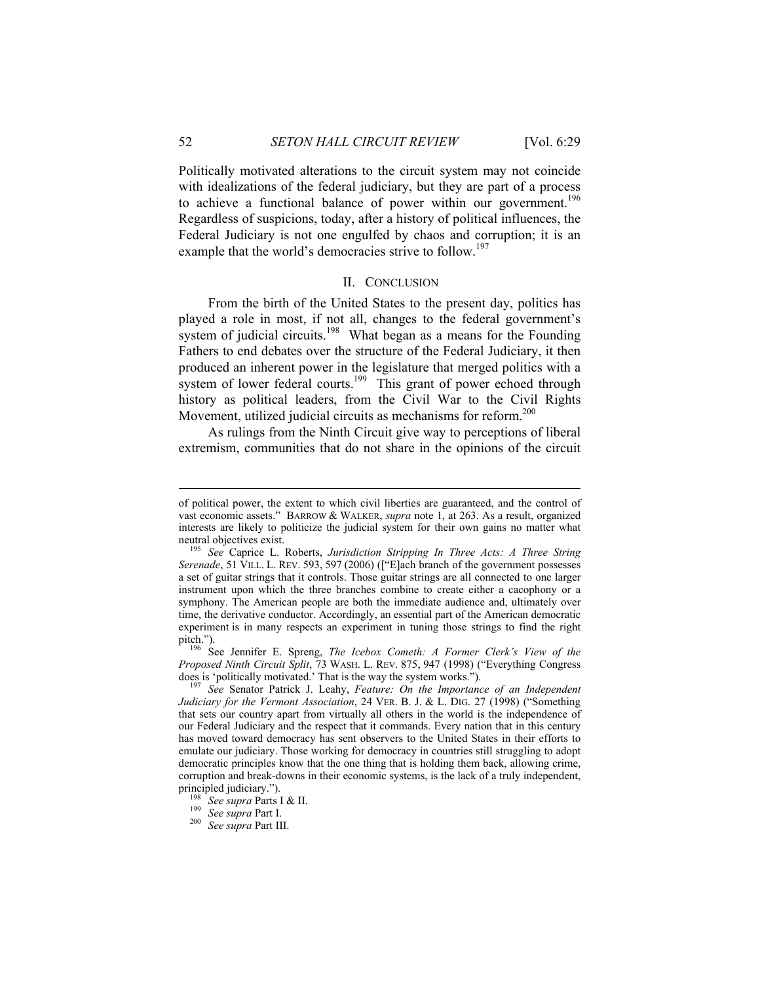Politically motivated alterations to the circuit system may not coincide with idealizations of the federal judiciary, but they are part of a process to achieve a functional balance of power within our government.<sup>196</sup> Regardless of suspicions, today, after a history of political influences, the Federal Judiciary is not one engulfed by chaos and corruption; it is an example that the world's democracies strive to follow.<sup>197</sup>

## II. CONCLUSION

From the birth of the United States to the present day, politics has played a role in most, if not all, changes to the federal government's system of judicial circuits.<sup>198</sup> What began as a means for the Founding Fathers to end debates over the structure of the Federal Judiciary, it then produced an inherent power in the legislature that merged politics with a system of lower federal courts.<sup>199</sup> This grant of power echoed through history as political leaders, from the Civil War to the Civil Rights Movement, utilized judicial circuits as mechanisms for reform.<sup>200</sup>

As rulings from the Ninth Circuit give way to perceptions of liberal extremism, communities that do not share in the opinions of the circuit

*Proposed Ninth Circuit Split*, 73 WASH. L. REV. 875, 947 (1998) ("Everything Congress does is 'politically motivated.' That is the way the system works.").<br><sup>197</sup> See Senator Patrick J. Leahy, *Feature: On the Importance of an Independent* 

*Judiciary for the Vermont Association*, 24 VER. B. J. & L. DIG. 27 (1998) ("Something that sets our country apart from virtually all others in the world is the independence of our Federal Judiciary and the respect that it commands. Every nation that in this century has moved toward democracy has sent observers to the United States in their efforts to emulate our judiciary. Those working for democracy in countries still struggling to adopt democratic principles know that the one thing that is holding them back, allowing crime, corruption and break-downs in their economic systems, is the lack of a truly independent, principled judiciary."). 198 *See supra* Parts I & II. 199 *See supra* Part I. 200 *See supra* Part III.

of political power, the extent to which civil liberties are guaranteed, and the control of vast economic assets." BARROW & WALKER, *supra* note 1, at 263. As a result, organized interests are likely to politicize the judicial system for their own gains no matter what

neutral objectives exist. 195 *See* Caprice L. Roberts, *Jurisdiction Stripping In Three Acts: A Three String Serenade*, 51 VILL. L. REV. 593, 597 (2006) (["E]ach branch of the government possesses a set of guitar strings that it controls. Those guitar strings are all connected to one larger instrument upon which the three branches combine to create either a cacophony or a symphony. The American people are both the immediate audience and, ultimately over time, the derivative conductor. Accordingly, an essential part of the American democratic experiment is in many respects an experiment in tuning those strings to find the right pitch."). 196 See Jennifer E. Spreng, *The Icebox Cometh: A Former Clerk's View of the*